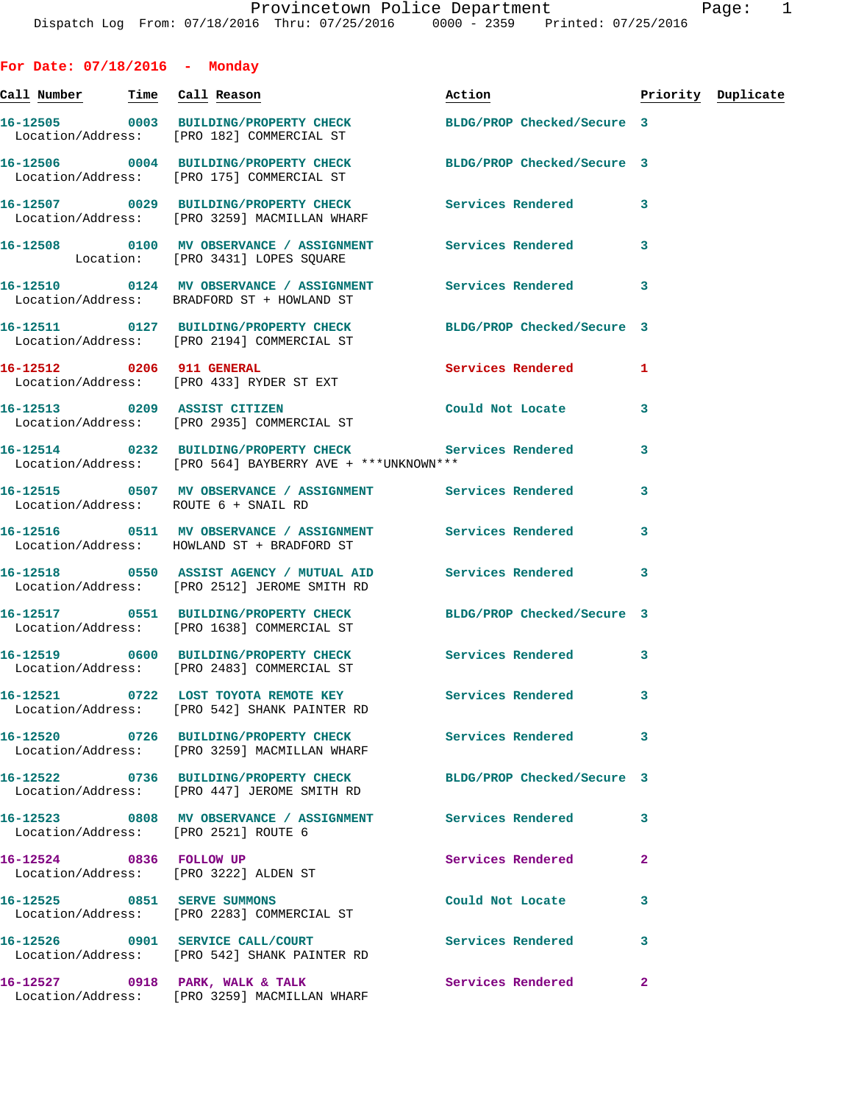| For Date: $07/18/2016$ - Monday |                                                                                                                     |                                  |   |  |
|---------------------------------|---------------------------------------------------------------------------------------------------------------------|----------------------------------|---|--|
| Call Number Time Call Reason    |                                                                                                                     | Action <b>Priority Duplicate</b> |   |  |
|                                 | 16-12505 0003 BUILDING/PROPERTY CHECK<br>Location/Address: [PRO 182] COMMERCIAL ST                                  | BLDG/PROP Checked/Secure 3       |   |  |
|                                 | 16-12506 0004 BUILDING/PROPERTY CHECK BLDG/PROP Checked/Secure 3<br>Location/Address: [PRO 175] COMMERCIAL ST       |                                  |   |  |
|                                 | 16-12507 0029 BUILDING/PROPERTY CHECK Services Rendered<br>Location/Address: [PRO 3259] MACMILLAN WHARF             |                                  | 3 |  |
|                                 | 16-12508 0100 MV OBSERVANCE / ASSIGNMENT Services Rendered 3<br>Location: [PRO 3431] LOPES SQUARE                   |                                  |   |  |
|                                 | 16-12510 0124 MV OBSERVANCE / ASSIGNMENT Services Rendered<br>Location/Address: BRADFORD ST + HOWLAND ST            |                                  | 3 |  |
|                                 | 16-12511 0127 BUILDING/PROPERTY CHECK BLDG/PROP Checked/Secure 3<br>Location/Address: [PRO 2194] COMMERCIAL ST      |                                  |   |  |
|                                 | 16-12512 0206 911 GENERAL<br>Location/Address: [PRO 433] RYDER ST EXT                                               | <b>Services Rendered</b> 1       |   |  |
|                                 | 16-12513 0209 ASSIST CITIZEN<br>Location/Address: [PRO 2935] COMMERCIAL ST                                          | Could Not Locate                 | 3 |  |
|                                 | 16-12514 0232 BUILDING/PROPERTY CHECK Services Rendered<br>Location/Address: [PRO 564] BAYBERRY AVE + ***UNKNOWN*** |                                  | 3 |  |
|                                 | 16-12515 0507 MV OBSERVANCE / ASSIGNMENT Services Rendered<br>Location/Address: ROUTE 6 + SNAIL RD                  |                                  | 3 |  |
|                                 | 16-12516 0511 MV OBSERVANCE / ASSIGNMENT Services Rendered<br>Location/Address: HOWLAND ST + BRADFORD ST            |                                  | 3 |  |
|                                 | 16-12518 0550 ASSIST AGENCY / MUTUAL AID Services Rendered<br>Location/Address: [PRO 2512] JEROME SMITH RD          |                                  | 3 |  |
|                                 | 16-12517 0551 BUILDING/PROPERTY CHECK BLDG/PROP Checked/Secure 3<br>Location/Address: [PRO 1638] COMMERCIAL ST      |                                  |   |  |
|                                 | 16-12519 0600 BUILDING/PROPERTY CHECK<br>Location/Address: [PRO 2483] COMMERCIAL ST                                 | Services Rendered 3              |   |  |
|                                 | 16-12521 0722 LOST TOYOTA REMOTE KEY<br>Location/Address: [PRO 542] SHANK PAINTER RD                                | Services Rendered                | 3 |  |
|                                 | 16-12520 0726 BUILDING/PROPERTY CHECK<br>Location/Address: [PRO 3259] MACMILLAN WHARF                               | Services Rendered                | 3 |  |
|                                 | 16-12522 0736 BUILDING/PROPERTY CHECK<br>Location/Address: [PRO 447] JEROME SMITH RD                                | BLDG/PROP Checked/Secure 3       |   |  |
|                                 | 16-12523 0808 MV OBSERVANCE / ASSIGNMENT Services Rendered<br>Location/Address: [PRO 2521] ROUTE 6                  |                                  | 3 |  |
|                                 | 16-12524 0836 FOLLOW UP<br>Location/Address: [PRO 3222] ALDEN ST                                                    | Services Rendered                | 2 |  |
|                                 | 16-12525 0851 SERVE SUMMONS<br>Location/Address: [PRO 2283] COMMERCIAL ST                                           | Could Not Locate                 | 3 |  |
|                                 |                                                                                                                     |                                  |   |  |

**16-12526 0901 SERVICE CALL/COURT Services Rendered 3**  Location/Address: [PRO 542] SHANK PAINTER RD

Location/Address: [PRO 3259] MACMILLAN WHARF

**16-12527 0918 PARK, WALK & TALK Services Rendered 2**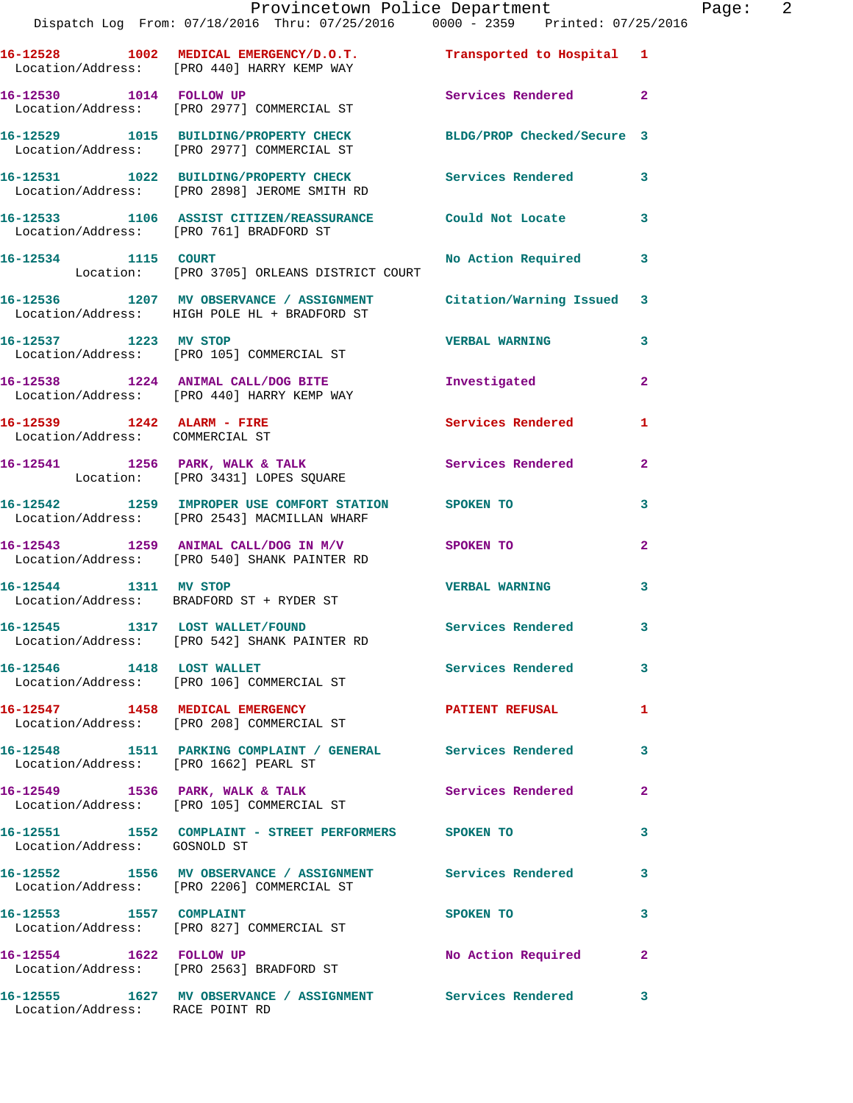|                                       | Provincetown Police Department Page: 2<br>Dispatch Log From: 07/18/2016 Thru: 07/25/2016                0000 - 2359   Printed: 07/25/2016 |                          |                |  |
|---------------------------------------|-------------------------------------------------------------------------------------------------------------------------------------------|--------------------------|----------------|--|
|                                       | 16-12528 1002 MEDICAL EMERGENCY/D.O.T. Transported to Hospital 1<br>Location/Address: [PRO 440] HARRY KEMP WAY                            |                          |                |  |
|                                       | 16-12530 1014 FOLLOW UP<br>Location/Address: [PRO 2977] COMMERCIAL ST                                                                     | Services Rendered 2      |                |  |
|                                       | 16-12529 1015 BUILDING/PROPERTY CHECK BLDG/PROP Checked/Secure 3<br>Location/Address: [PRO 2977] COMMERCIAL ST                            |                          |                |  |
|                                       | 16-12531 1022 BUILDING/PROPERTY CHECK Services Rendered 3<br>Location/Address: [PRO 2898] JEROME SMITH RD                                 |                          |                |  |
|                                       | 16-12533 1106 ASSIST CITIZEN/REASSURANCE Could Not Locate 3<br>Location/Address: [PRO 761] BRADFORD ST                                    |                          |                |  |
|                                       | 16-12534 1115 COURT<br>Location: [PRO 3705] ORLEANS DISTRICT COURT                                                                        | No Action Required 3     |                |  |
|                                       | 16-12536 1207 MV OBSERVANCE / ASSIGNMENT Citation/Warning Issued 3<br>Location/Address: HIGH POLE HL + BRADFORD ST                        |                          |                |  |
| 16-12537 1223 MV STOP                 | Location/Address: [PRO 105] COMMERCIAL ST                                                                                                 | <b>VERBAL WARNING</b>    | 3              |  |
|                                       | 16-12538 1224 ANIMAL CALL/DOG BITE <b>Investigated</b><br>Location/Address: [PRO 440] HARRY KEMP WAY                                      |                          | $\overline{2}$ |  |
| Location/Address: COMMERCIAL ST       | 16-12539 1242 ALARM - FIRE                                                                                                                | Services Rendered        | 1              |  |
|                                       | 16-12541 1256 PARK, WALK & TALK 1988 Services Rendered 2<br>Location: [PRO 3431] LOPES SQUARE                                             |                          |                |  |
|                                       | 16-12542 1259 IMPROPER USE COMFORT STATION SPOKEN TO<br>Location/Address: [PRO 2543] MACMILLAN WHARF                                      |                          | 3              |  |
|                                       | 16-12543 1259 ANIMAL CALL/DOG IN M/V SPOKEN TO<br>Location/Address: [PRO 540] SHANK PAINTER RD                                            |                          | $\overline{2}$ |  |
|                                       | 16-12544 1311 MV STOP<br>Location/Address: BRADFORD ST + RYDER ST                                                                         | <b>VERBAL WARNING</b>    | 3              |  |
|                                       | 16-12545 1317 LOST WALLET/FOUND<br>Location/Address: [PRO 542] SHANK PAINTER RD                                                           | Services Rendered 3      |                |  |
| 16-12546 1418 LOST WALLET             | Location/Address: [PRO 106] COMMERCIAL ST                                                                                                 | Services Rendered        | $\mathbf{3}$   |  |
|                                       | 16-12547 1458 MEDICAL EMERGENCY<br>Location/Address: [PRO 208] COMMERCIAL ST                                                              | PATIENT REFUSAL 1        |                |  |
| Location/Address: [PRO 1662] PEARL ST | 16-12548 1511 PARKING COMPLAINT / GENERAL Services Rendered                                                                               |                          | 3              |  |
|                                       | 16-12549 1536 PARK, WALK & TALK<br>Location/Address: [PRO 105] COMMERCIAL ST                                                              | <b>Services Rendered</b> | $\mathbf{2}$   |  |
| Location/Address: GOSNOLD ST          | 16-12551 1552 COMPLAINT - STREET PERFORMERS SPOKEN TO                                                                                     |                          | 3              |  |
|                                       | 16-12552 1556 MV OBSERVANCE / ASSIGNMENT Services Rendered 3<br>Location/Address: [PRO 2206] COMMERCIAL ST                                |                          |                |  |
|                                       | 16-12553 1557 COMPLAINT<br>Location/Address: [PRO 827] COMMERCIAL ST                                                                      | SPOKEN TO                | 3              |  |
| 16-12554 1622 FOLLOW UP               | Location/Address: [PRO 2563] BRADFORD ST                                                                                                  | No Action Required       | $\mathbf{2}$   |  |
| Location/Address: RACE POINT RD       | 16-12555 1627 MV OBSERVANCE / ASSIGNMENT Services Rendered                                                                                |                          | 3              |  |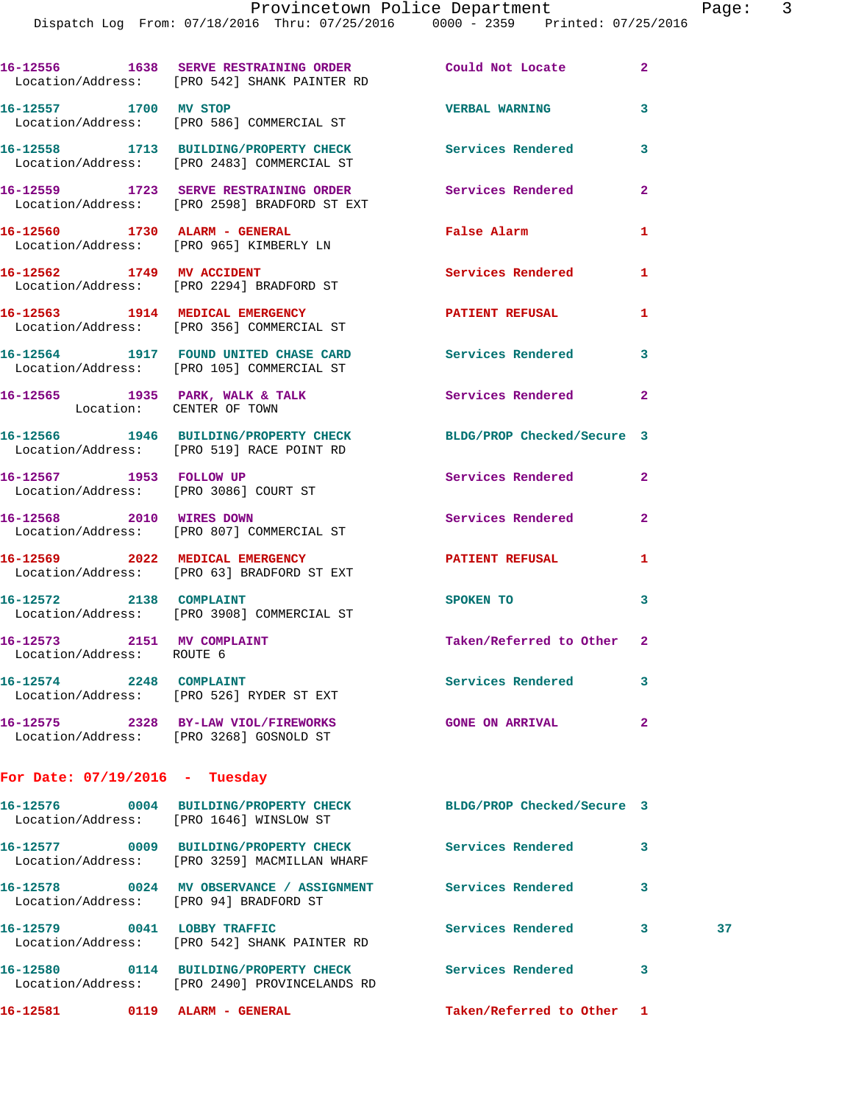Dispatch Log From: 07/18/2016 Thru: 07/25/2016 0000 - 2359 Printed: 07/25/2016

|                                                         | 16-12556 1638 SERVE RESTRAINING ORDER Could Not Locate<br>Location/Address: [PRO 542] SHANK PAINTER RD        |                           | $\mathbf{2}$ |    |
|---------------------------------------------------------|---------------------------------------------------------------------------------------------------------------|---------------------------|--------------|----|
| 16-12557 1700 MV STOP                                   | Location/Address: [PRO 586] COMMERCIAL ST                                                                     | <b>VERBAL WARNING</b>     | 3            |    |
|                                                         | 16-12558 1713 BUILDING/PROPERTY CHECK<br>Location/Address: [PRO 2483] COMMERCIAL ST                           | Services Rendered         | 3            |    |
|                                                         | 16-12559 1723 SERVE RESTRAINING ORDER<br>Location/Address: [PRO 2598] BRADFORD ST EXT                         | Services Rendered         | $\mathbf{2}$ |    |
|                                                         | 16-12560 1730 ALARM - GENERAL<br>Location/Address: [PRO 965] KIMBERLY LN                                      | <b>False Alarm</b>        | 1            |    |
|                                                         | 16-12562 1749 MV ACCIDENT<br>Location/Address: [PRO 2294] BRADFORD ST                                         | Services Rendered         | 1            |    |
|                                                         | 16-12563 1914 MEDICAL EMERGENCY<br>Location/Address: [PRO 356] COMMERCIAL ST                                  | PATIENT REFUSAL           | $\mathbf{1}$ |    |
|                                                         | 16-12564 1917 FOUND UNITED CHASE CARD Services Rendered<br>Location/Address: [PRO 105] COMMERCIAL ST          |                           | 3            |    |
|                                                         | 16-12565 1935 PARK, WALK & TALK 6 Services Rendered 2<br>Location: CENTER OF TOWN                             |                           |              |    |
|                                                         | 16-12566 1946 BUILDING/PROPERTY CHECK BLDG/PROP Checked/Secure 3<br>Location/Address: [PRO 519] RACE POINT RD |                           |              |    |
| 16-12567 1953 FOLLOW UP                                 | Location/Address: [PRO 3086] COURT ST                                                                         | Services Rendered         | $\mathbf{2}$ |    |
|                                                         | 16-12568 2010 WIRES DOWN<br>Location/Address: [PRO 807] COMMERCIAL ST                                         | Services Rendered         | $\mathbf{2}$ |    |
|                                                         | 16-12569 2022 MEDICAL EMERGENCY<br>Location/Address: [PRO 63] BRADFORD ST EXT                                 | PATIENT REFUSAL           | 1            |    |
|                                                         | 16-12572 2138 COMPLAINT<br>Location/Address: [PRO 3908] COMMERCIAL ST                                         | <b>SPOKEN TO</b>          | 3            |    |
| 16-12573 2151 MV COMPLAINT<br>Location/Address: ROUTE 6 |                                                                                                               | Taken/Referred to Other 2 |              |    |
|                                                         | 16-12574 2248 COMPLAINT<br>Location/Address: [PRO 526] RYDER ST EXT                                           | <b>Services Rendered</b>  | 3            |    |
|                                                         | 16-12575 2328 BY-LAW VIOL/FIREWORKS<br>Location/Address: [PRO 3268] GOSNOLD ST                                | <b>GONE ON ARRIVAL</b>    | $\mathbf{2}$ |    |
| For Date: $07/19/2016$ - Tuesday                        |                                                                                                               |                           |              |    |
|                                                         | 16-12576 0004 BUILDING/PROPERTY CHECK BLDG/PROP Checked/Secure 3<br>Location/Address: [PRO 1646] WINSLOW ST   |                           |              |    |
|                                                         | 16-12577 0009 BUILDING/PROPERTY CHECK Services Rendered<br>Location/Address: [PRO 3259] MACMILLAN WHARF       |                           | 3            |    |
|                                                         | 16-12578 0024 MV OBSERVANCE / ASSIGNMENT Services Rendered<br>Location/Address: [PRO 94] BRADFORD ST          |                           | 3            |    |
|                                                         | 16-12579 0041 LOBBY TRAFFIC<br>Location/Address: [PRO 542] SHANK PAINTER RD                                   | Services Rendered 3       |              | 37 |
|                                                         | 16-12580 0114 BUILDING/PROPERTY CHECK Services Rendered<br>Location/Address: [PRO 2490] PROVINCELANDS RD      |                           | 3            |    |
|                                                         | 16-12581 0119 ALARM - GENERAL                                                                                 | Taken/Referred to Other 1 |              |    |
|                                                         |                                                                                                               |                           |              |    |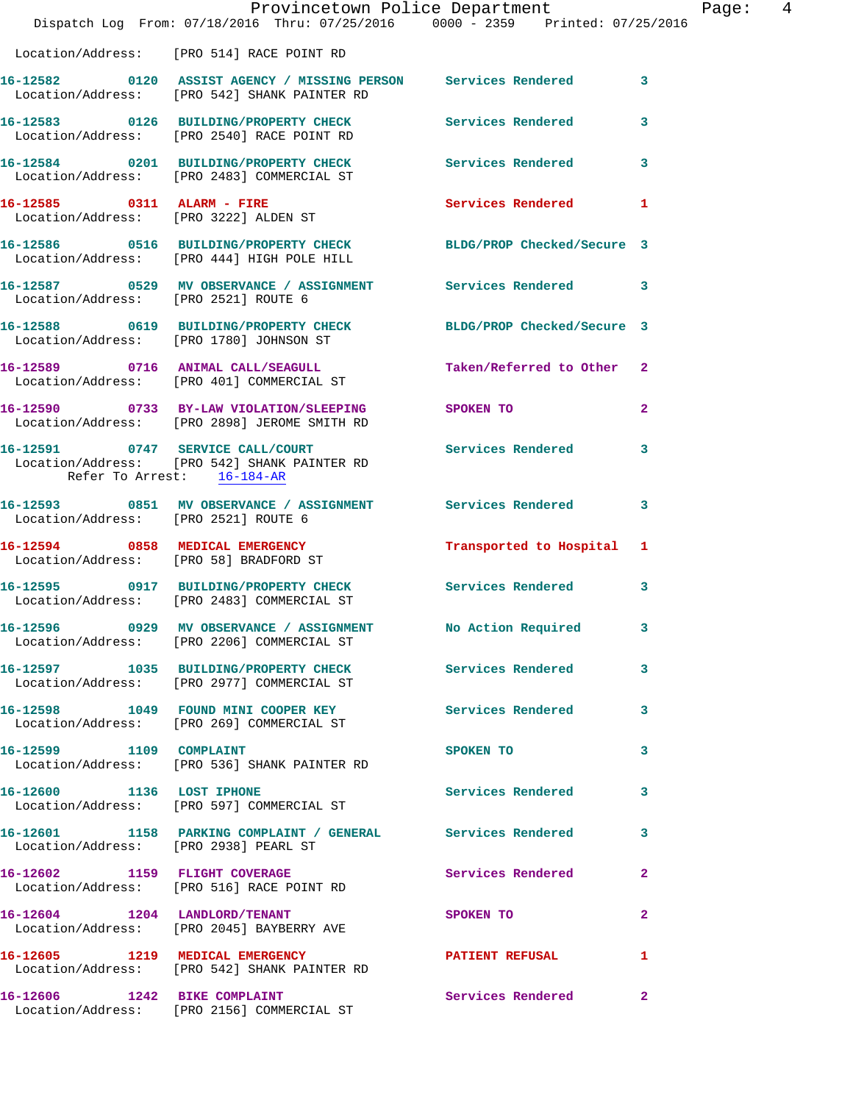|                                      | Dispatch Log From: $07/18/2016$ Thru: $07/25/2016$ 0000 - 2359 Printed: $07/25/2016$                                     | Provincetown Police Department Page: 4 |                         |  |
|--------------------------------------|--------------------------------------------------------------------------------------------------------------------------|----------------------------------------|-------------------------|--|
|                                      | Location/Address: [PRO 514] RACE POINT RD                                                                                |                                        |                         |  |
|                                      | 16-12582   0120   ASSIST AGENCY / MISSING PERSON   Services Rendered   3<br>Location/Address: [PRO 542] SHANK PAINTER RD |                                        |                         |  |
|                                      | 16-12583 0126 BUILDING/PROPERTY CHECK Services Rendered 3<br>Location/Address: [PRO 2540] RACE POINT RD                  |                                        |                         |  |
|                                      | 16-12584 0201 BUILDING/PROPERTY CHECK Services Rendered 3<br>Location/Address: [PRO 2483] COMMERCIAL ST                  |                                        |                         |  |
|                                      | 16-12585 0311 ALARM - FIRE<br>Location/Address: [PRO 3222] ALDEN ST                                                      | Services Rendered 1                    |                         |  |
|                                      | 16-12586 0516 BUILDING/PROPERTY CHECK BLDG/PROP Checked/Secure 3<br>Location/Address: [PRO 444] HIGH POLE HILL           |                                        |                         |  |
|                                      | 16-12587 0529 MV OBSERVANCE / ASSIGNMENT Services Rendered 3<br>Location/Address: [PRO 2521] ROUTE 6                     |                                        |                         |  |
|                                      | 16-12588 0619 BUILDING/PROPERTY CHECK BLDG/PROP Checked/Secure 3<br>Location/Address: [PRO 1780] JOHNSON ST              |                                        |                         |  |
|                                      | 16-12589 0716 ANIMAL CALL/SEAGULL Taken/Referred to Other 2<br>Location/Address: [PRO 401] COMMERCIAL ST                 |                                        |                         |  |
|                                      | 16-12590 0733 BY-LAW VIOLATION/SLEEPING SPOKEN TO<br>Location/Address: [PRO 2898] JEROME SMITH RD                        |                                        | $\mathbf{2}$            |  |
| Refer To Arrest: 16-184-AR           | 16-12591 0747 SERVICE CALL/COURT<br>Location/Address: [PRO 542] SHANK PAINTER RD                                         | Services Rendered 3                    |                         |  |
| Location/Address: [PRO 2521] ROUTE 6 | 16-12593 0851 MV OBSERVANCE / ASSIGNMENT Services Rendered 3                                                             |                                        |                         |  |
|                                      | 16-12594 0858 MEDICAL EMERGENCY Transported to Hospital 1<br>Location/Address: [PRO 58] BRADFORD ST                      |                                        |                         |  |
|                                      | 16-12595 0917 BUILDING/PROPERTY CHECK Services Rendered 3<br>Location/Address: [PRO 2483] COMMERCIAL ST                  |                                        |                         |  |
|                                      | 16-12596 0929 MV OBSERVANCE / ASSIGNMENT<br>Location/Address: [PRO 2206] COMMERCIAL ST                                   | No Action Required                     | $\overline{\mathbf{3}}$ |  |
|                                      | 16-12597 1035 BUILDING/PROPERTY CHECK Services Rendered 3<br>Location/Address: [PRO 2977] COMMERCIAL ST                  |                                        |                         |  |
|                                      | 16-12598 1049 FOUND MINI COOPER KEY Services Rendered 3<br>Location/Address: [PRO 269] COMMERCIAL ST                     |                                        |                         |  |
|                                      | 16-12599 1109 COMPLAINT<br>Location/Address: [PRO 536] SHANK PAINTER RD                                                  | SPOKEN TO                              | 3                       |  |
|                                      | 16-12600 1136 LOST IPHONE<br>Location/Address: [PRO 597] COMMERCIAL ST                                                   | Services Rendered 3                    |                         |  |
|                                      | 16-12601 1158 PARKING COMPLAINT / GENERAL Services Rendered 3<br>Location/Address: [PRO 2938] PEARL ST                   |                                        |                         |  |
|                                      | 16-12602 1159 FLIGHT COVERAGE<br>Location/Address: [PRO 516] RACE POINT RD                                               | Services Rendered 2                    |                         |  |
|                                      | 16-12604 1204 LANDLORD/TENANT<br>Location/Address: [PRO 2045] BAYBERRY AVE                                               | SPOKEN TO                              | $\mathbf{2}$            |  |
|                                      | 16-12605 1219 MEDICAL EMERGENCY <b>PATIENT REFUSAL</b> 1<br>Location/Address: [PRO 542] SHANK PAINTER RD                 |                                        |                         |  |
|                                      | 16-12606 1242 BIKE COMPLAINT<br>Location/Address: [PRO 2156] COMMERCIAL ST                                               | <b>Services Rendered</b> 2             |                         |  |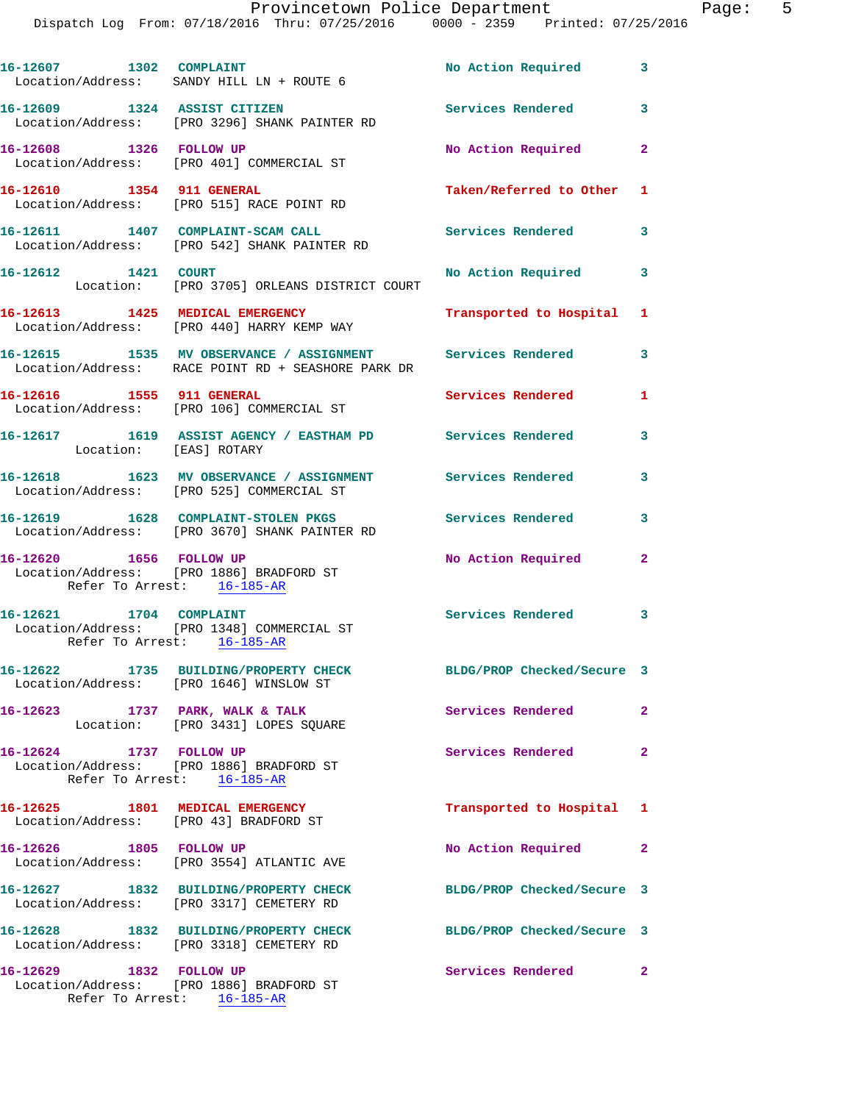|                                                       | 16-12607 1302 COMPLAINT<br>Location/Address: SANDY HILL LN + ROUTE 6                                             | No Action Required 3       |                         |
|-------------------------------------------------------|------------------------------------------------------------------------------------------------------------------|----------------------------|-------------------------|
| 16-12609 1324 ASSIST CITIZEN                          | Location/Address: [PRO 3296] SHANK PAINTER RD                                                                    | <b>Services Rendered</b>   | 3                       |
| 16-12608 1326 FOLLOW UP                               | Location/Address: [PRO 401] COMMERCIAL ST                                                                        | No Action Required         | $\mathbf{2}$            |
| 16-12610 1354 911 GENERAL                             | Location/Address: [PRO 515] RACE POINT RD                                                                        | Taken/Referred to Other 1  |                         |
|                                                       | 16-12611 1407 COMPLAINT-SCAM CALL<br>Location/Address: [PRO 542] SHANK PAINTER RD                                | <b>Services Rendered</b>   | $\overline{\mathbf{3}}$ |
| 16-12612 1421 COURT                                   | Location: [PRO 3705] ORLEANS DISTRICT COURT                                                                      | No Action Required 3       |                         |
|                                                       | 16-12613 1425 MEDICAL EMERGENCY<br>Location/Address: [PRO 440] HARRY KEMP WAY                                    | Transported to Hospital 1  |                         |
|                                                       | 16-12615 1535 MV OBSERVANCE / ASSIGNMENT Services Rendered<br>Location/Address: RACE POINT RD + SEASHORE PARK DR |                            | 3                       |
|                                                       | 16-12616 1555 911 GENERAL<br>Location/Address: [PRO 106] COMMERCIAL ST                                           | Services Rendered          | 1                       |
| Location: [EAS] ROTARY                                | 16-12617 1619 ASSIST AGENCY / EASTHAM PD Services Rendered                                                       |                            | 3                       |
|                                                       | 16-12618 1623 MV OBSERVANCE / ASSIGNMENT Services Rendered<br>Location/Address: [PRO 525] COMMERCIAL ST          |                            | 3                       |
|                                                       | 16-12619 1628 COMPLAINT-STOLEN PKGS<br>Location/Address: [PRO 3670] SHANK PAINTER RD                             | <b>Services Rendered</b>   | 3                       |
| 16-12620 1656 FOLLOW UP<br>Refer To Arrest: 16-185-AR | Location/Address: [PRO 1886] BRADFORD ST                                                                         | No Action Required         | $\overline{2}$          |
| 16-12621 1704 COMPLAINT                               | Location/Address: [PRO 1348] COMMERCIAL ST<br>Refer To Arrest: 16-185-AR                                         | Services Rendered 3        |                         |
| 16-12622                                              | 1735 BUILDING/PROPERTY CHECK<br>Location/Address: [PRO 1646] WINSLOW ST                                          | BLDG/PROP Checked/Secure 3 |                         |
|                                                       | 16-12623 1737 PARK, WALK & TALK<br>Location: [PRO 3431] LOPES SQUARE                                             | Services Rendered          | $\mathbf{2}$            |
|                                                       | 16-12624 1737 FOLLOW UP<br>Location/Address: [PRO 1886] BRADFORD ST<br>Refer To Arrest: 16-185-AR                | Services Rendered          | $\mathbf{2}$            |
| 16-12625 1801 MEDICAL EMERGENCY                       | Location/Address: [PRO 43] BRADFORD ST                                                                           | Transported to Hospital 1  |                         |
| 16-12626 1805 FOLLOW UP                               | Location/Address: [PRO 3554] ATLANTIC AVE                                                                        | No Action Required 2       |                         |
|                                                       | 16-12627 1832 BUILDING/PROPERTY CHECK<br>Location/Address: [PRO 3317] CEMETERY RD                                | BLDG/PROP Checked/Secure 3 |                         |
|                                                       | 16-12628 1832 BUILDING/PROPERTY CHECK<br>Location/Address: [PRO 3318] CEMETERY RD                                | BLDG/PROP Checked/Secure 3 |                         |
| 16-12629 1832 FOLLOW UP                               | Location/Address: [PRO 1886] BRADFORD ST<br>Refer To Arrest: 16-185-AR                                           | Services Rendered          | -2                      |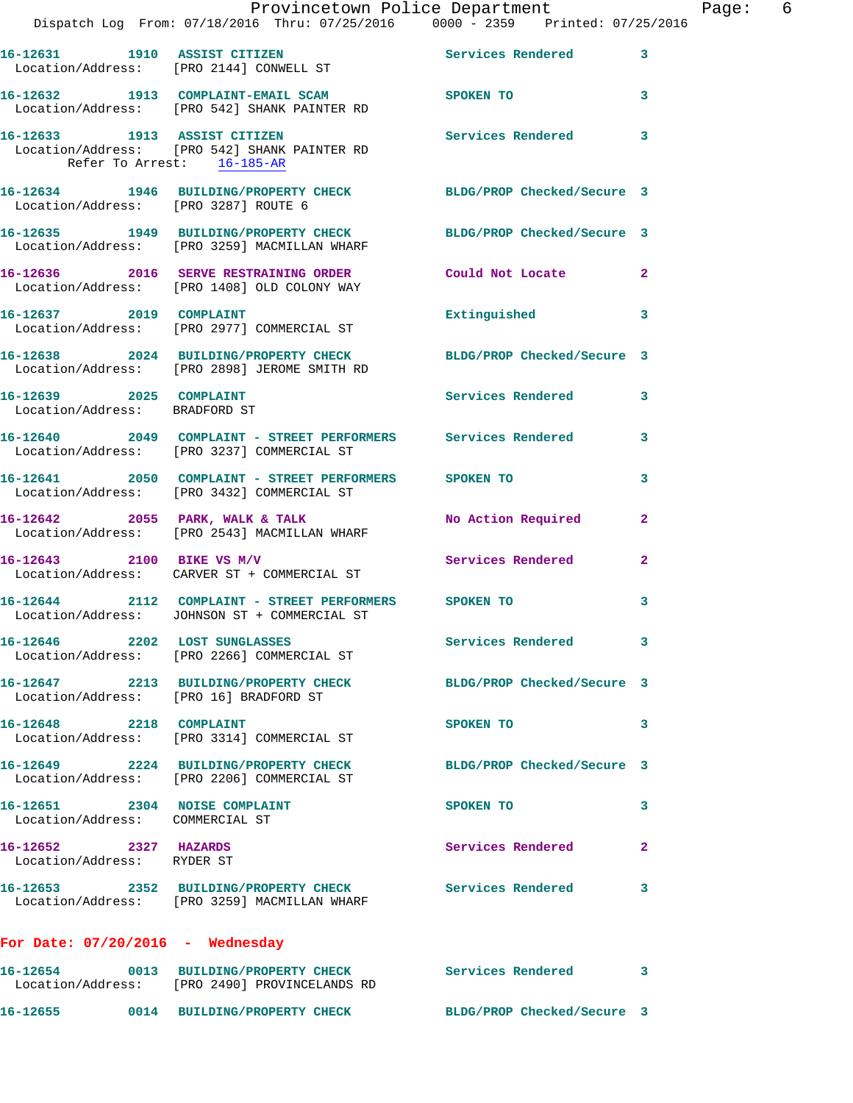|                                                                  | Provincetown Police Department<br>Dispatch Log From: 07/18/2016 Thru: 07/25/2016 0000 - 2359 Printed: 07/25/2016   |                            |                         |
|------------------------------------------------------------------|--------------------------------------------------------------------------------------------------------------------|----------------------------|-------------------------|
|                                                                  |                                                                                                                    |                            |                         |
|                                                                  | 16-12631 1910 ASSIST CITIZEN<br>Location/Address: [PRO 2144] CONWELL ST                                            | Services Rendered          | 3                       |
|                                                                  | 16-12632 1913 COMPLAINT-EMAIL SCAM SPOKEN TO<br>Location/Address: [PRO 542] SHANK PAINTER RD                       |                            | 3                       |
| Refer To Arrest: 16-185-AR                                       | 16-12633 1913 ASSIST CITIZEN<br>Location/Address: [PRO 542] SHANK PAINTER RD                                       | <b>Services Rendered</b>   | 3                       |
|                                                                  | 16-12634   1946   BUILDING/PROPERTY CHECK   BLDG/PROP Checked/Secure   3<br>Location/Address: [PRO 3287] ROUTE   6 |                            |                         |
|                                                                  | 16-12635 1949 BUILDING/PROPERTY CHECK<br>Location/Address: [PRO 3259] MACMILLAN WHARF                              | BLDG/PROP Checked/Secure 3 |                         |
|                                                                  | 16-12636 2016 SERVE RESTRAINING ORDER Could Not Locate<br>Location/Address: [PRO 1408] OLD COLONY WAY              |                            | $\overline{\mathbf{2}}$ |
|                                                                  | 16-12637 2019 COMPLAINT<br>Location/Address: [PRO 2977] COMMERCIAL ST                                              | Extinguished               | 3                       |
|                                                                  | 16-12638 2024 BUILDING/PROPERTY CHECK BLDG/PROP Checked/Secure 3<br>Location/Address: [PRO 2898] JEROME SMITH RD   |                            |                         |
| 16-12639 2025 COMPLAINT<br>Location/Address: BRADFORD ST         |                                                                                                                    | Services Rendered          | 3                       |
|                                                                  | 16-12640 2049 COMPLAINT - STREET PERFORMERS Services Rendered<br>Location/Address: [PRO 3237] COMMERCIAL ST        |                            | 3                       |
|                                                                  | 16-12641 2050 COMPLAINT - STREET PERFORMERS SPOKEN TO<br>Location/Address: [PRO 3432] COMMERCIAL ST                |                            | 3                       |
|                                                                  | 16-12642 2055 PARK, WALK & TALK<br>Location/Address: [PRO 2543] MACMILLAN WHARF                                    | No Action Required         | 2                       |
| 16-12643 2100 BIKE VS M/V                                        | Location/Address: CARVER ST + COMMERCIAL ST                                                                        | Services Rendered          | 2                       |
|                                                                  | 16-12644 2112 COMPLAINT - STREET PERFORMERS SPOKEN TO<br>Location/Address: JOHNSON ST + COMMERCIAL ST              |                            | 3                       |
|                                                                  | 16-12646 2202 LOST SUNGLASSES<br>Location/Address: [PRO 2266] COMMERCIAL ST                                        | <b>Services Rendered</b>   | 3                       |
| Location/Address: [PRO 16] BRADFORD ST                           | 16-12647 2213 BUILDING/PROPERTY CHECK BLDG/PROP Checked/Secure 3                                                   |                            |                         |
| 16-12648 2218 COMPLAINT                                          | Location/Address: [PRO 3314] COMMERCIAL ST                                                                         | SPOKEN TO                  | 3                       |
|                                                                  | 16-12649 2224 BUILDING/PROPERTY CHECK<br>Location/Address: [PRO 2206] COMMERCIAL ST                                | BLDG/PROP Checked/Secure 3 |                         |
| 16-12651 2304 NOISE COMPLAINT<br>Location/Address: COMMERCIAL ST |                                                                                                                    | SPOKEN TO                  | 3                       |
| 16-12652 2327 HAZARDS<br>Location/Address: RYDER ST              |                                                                                                                    | Services Rendered          | $\mathbf{2}$            |
|                                                                  | 16-12653 2352 BUILDING/PROPERTY CHECK Services Rendered<br>Location/Address: [PRO 3259] MACMILLAN WHARF            |                            | 3                       |
| For Date: 07/20/2016 - Wednesday                                 |                                                                                                                    |                            |                         |
| 16-12654                                                         | 0013 BUILDING/PROPERTY CHECK<br>Location/Address: [PRO 2490] PROVINCELANDS RD                                      | Services Rendered 3        |                         |

**16-12655 0014 BUILDING/PROPERTY CHECK BLDG/PROP Checked/Secure 3** 

Page: 6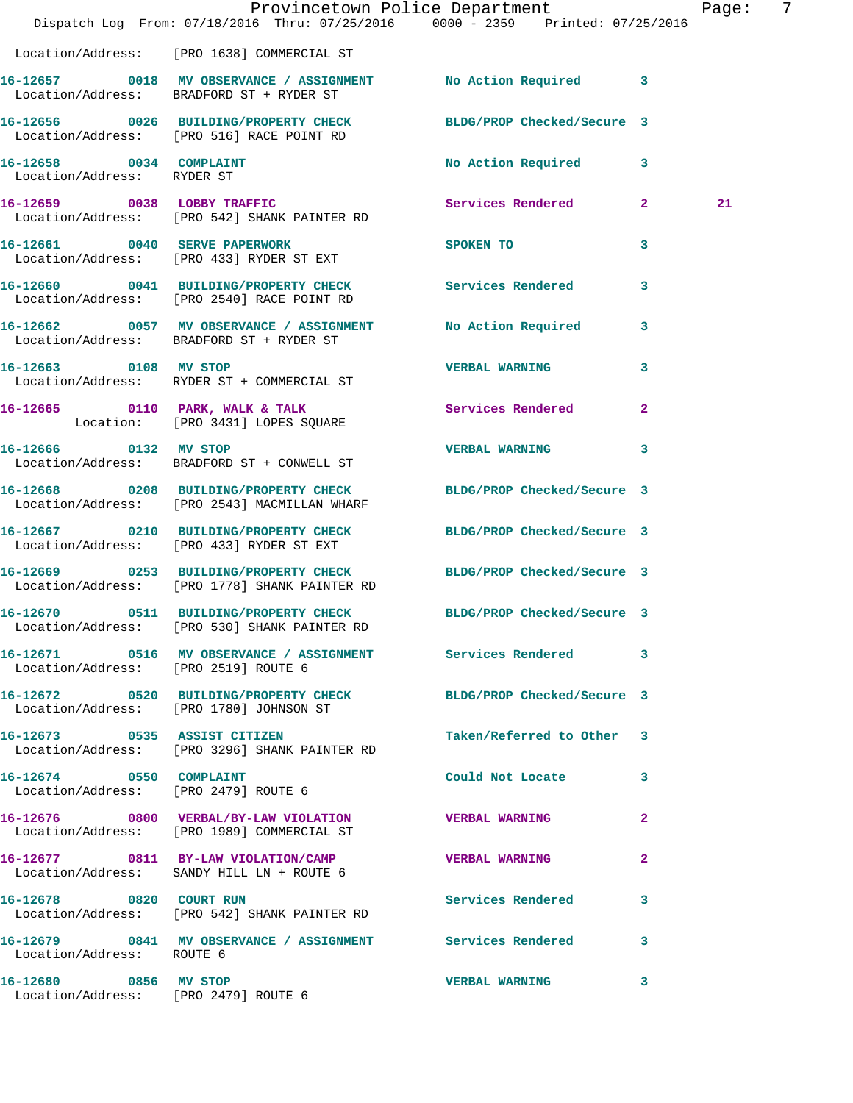|                                                               | Dispatch Log From: 07/18/2016 Thru: 07/25/2016 0000 - 2359 Printed: 07/25/2016                                    | Provincetown Police Department |                | Page: | 7 |
|---------------------------------------------------------------|-------------------------------------------------------------------------------------------------------------------|--------------------------------|----------------|-------|---|
|                                                               | Location/Address: [PRO 1638] COMMERCIAL ST                                                                        |                                |                |       |   |
|                                                               | 16-12657 0018 MV OBSERVANCE / ASSIGNMENT No Action Required 3<br>Location/Address: BRADFORD ST + RYDER ST         |                                |                |       |   |
|                                                               | 16-12656 0026 BUILDING/PROPERTY CHECK BLDG/PROP Checked/Secure 3<br>Location/Address: [PRO 516] RACE POINT RD     |                                |                |       |   |
| 16-12658 0034 COMPLAINT<br>Location/Address: RYDER ST         |                                                                                                                   | No Action Required 3           |                |       |   |
|                                                               | 16-12659 0038 LOBBY TRAFFIC<br>Location/Address: [PRO 542] SHANK PAINTER RD                                       | Services Rendered 2            |                | 21    |   |
|                                                               | 16-12661 0040 SERVE PAPERWORK<br>Location/Address: [PRO 433] RYDER ST EXT                                         | SPOKEN TO THE STRIKE SPOKEN TO | 3              |       |   |
|                                                               | 16-12660 0041 BUILDING/PROPERTY CHECK Services Rendered<br>Location/Address: [PRO 2540] RACE POINT RD             |                                | 3              |       |   |
|                                                               | 16-12662 0057 MV OBSERVANCE / ASSIGNMENT<br>Location/Address: BRADFORD ST + RYDER ST                              | No Action Required             | $\mathbf{3}$   |       |   |
| 16-12663 0108 MV STOP                                         | Location/Address: RYDER ST + COMMERCIAL ST                                                                        | <b>VERBAL WARNING</b>          | $\mathbf{3}$   |       |   |
|                                                               | 16-12665 0110 PARK, WALK & TALK<br>Location: [PRO 3431] LOPES SQUARE                                              | Services Rendered              | $\overline{2}$ |       |   |
| 16-12666 0132 MV STOP                                         | Location/Address: BRADFORD ST + CONWELL ST                                                                        | VERBAL WARNING 3               |                |       |   |
|                                                               | 16-12668 0208 BUILDING/PROPERTY CHECK<br>Location/Address: [PRO 2543] MACMILLAN WHARF                             | BLDG/PROP Checked/Secure 3     |                |       |   |
|                                                               | 16-12667 0210 BUILDING/PROPERTY CHECK BLDG/PROP Checked/Secure 3<br>Location/Address: [PRO 433] RYDER ST EXT      |                                |                |       |   |
|                                                               | 16-12669 0253 BUILDING/PROPERTY CHECK BLDG/PROP Checked/Secure 3<br>Location/Address: [PRO 1778] SHANK PAINTER RD |                                |                |       |   |
|                                                               | 16-12670 0511 BUILDING/PROPERTY CHECK<br>Location/Address: [PRO 530] SHANK PAINTER RD                             | BLDG/PROP Checked/Secure 3     |                |       |   |
|                                                               | 16-12671 0516 MV OBSERVANCE / ASSIGNMENT Services Rendered 3<br>Location/Address: [PRO 2519] ROUTE 6              |                                |                |       |   |
|                                                               | 16-12672 0520 BUILDING/PROPERTY CHECK BLDG/PROP Checked/Secure 3<br>Location/Address: [PRO 1780] JOHNSON ST       |                                |                |       |   |
|                                                               | 16-12673 0535 ASSIST CITIZEN<br>Location/Address: [PRO 3296] SHANK PAINTER RD                                     | Taken/Referred to Other 3      |                |       |   |
| 16-12674 0550 COMPLAINT                                       | Location/Address: [PRO 2479] ROUTE 6                                                                              | Could Not Locate 3             |                |       |   |
|                                                               | 16-12676 0800 VERBAL/BY-LAW VIOLATION VERBAL WARNING<br>Location/Address: [PRO 1989] COMMERCIAL ST                |                                | $\mathbf{2}$   |       |   |
|                                                               | 16-12677 0811 BY-LAW VIOLATION/CAMP<br>Location/Address: SANDY HILL LN + ROUTE 6                                  | <b>VERBAL WARNING</b>          | $\mathbf{2}$   |       |   |
|                                                               | 16-12678 0820 COURT RUN<br>Location/Address: [PRO 542] SHANK PAINTER RD                                           | Services Rendered              | $\mathbf{3}$   |       |   |
| Location/Address: ROUTE 6                                     | 16-12679 0841 MV OBSERVANCE / ASSIGNMENT Services Rendered 3                                                      |                                |                |       |   |
| 16-12680 0856 MV STOP<br>Location/Address: [PRO 2479] ROUTE 6 |                                                                                                                   | <b>VERBAL WARNING</b>          | 3              |       |   |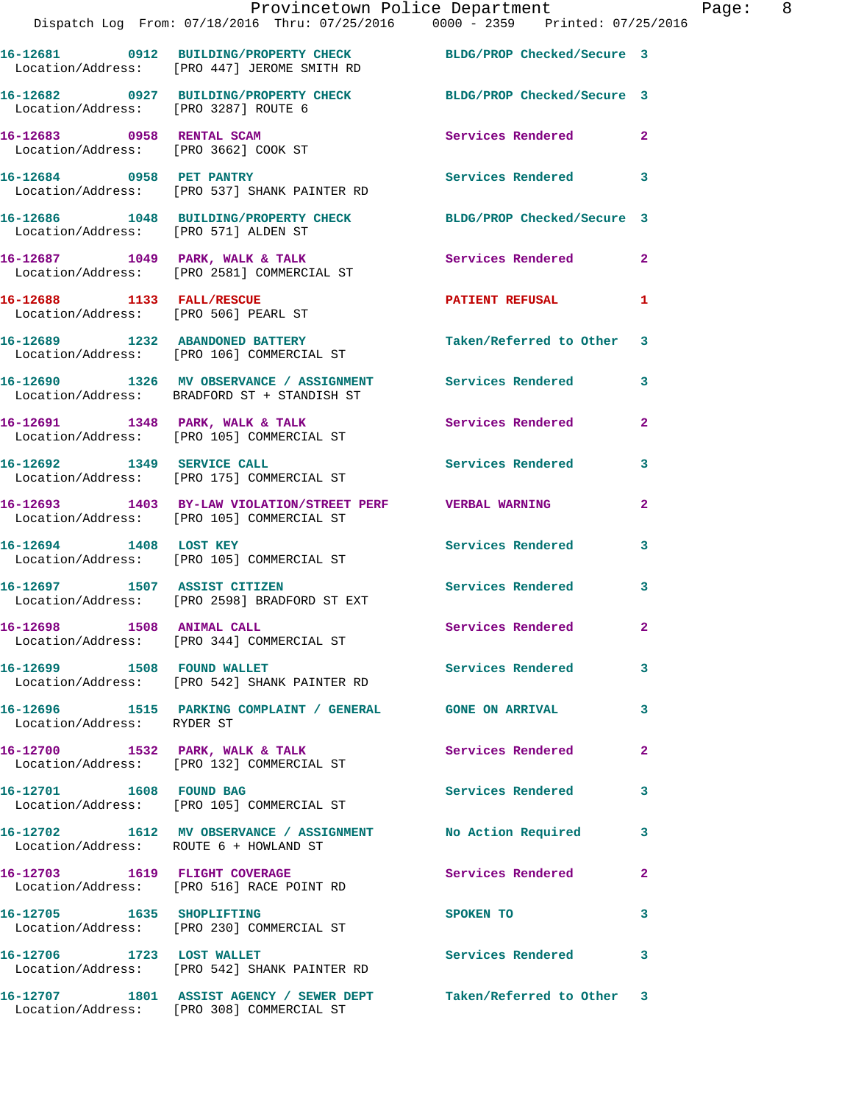|                                                                   | Provincetown Police Department<br>Dispatch Log From: 07/18/2016 Thru: 07/25/2016 0000 - 2359 Printed: 07/25/2016 |                            |                |
|-------------------------------------------------------------------|------------------------------------------------------------------------------------------------------------------|----------------------------|----------------|
|                                                                   | 16-12681 0912 BUILDING/PROPERTY CHECK BLDG/PROP Checked/Secure 3<br>Location/Address: [PRO 447] JEROME SMITH RD  |                            |                |
| Location/Address: [PRO 3287] ROUTE 6                              | 16-12682 0927 BUILDING/PROPERTY CHECK                                                                            | BLDG/PROP Checked/Secure 3 |                |
| 16-12683 0958 RENTAL SCAM<br>Location/Address: [PRO 3662] COOK ST |                                                                                                                  | Services Rendered          | $\mathbf{2}$   |
| 16-12684 0958 PET PANTRY                                          | Location/Address: [PRO 537] SHANK PAINTER RD                                                                     | Services Rendered          | 3              |
| Location/Address: [PRO 571] ALDEN ST                              | 16-12686 1048 BUILDING/PROPERTY CHECK                                                                            | BLDG/PROP Checked/Secure 3 |                |
|                                                                   | 16-12687 1049 PARK, WALK & TALK<br>Location/Address: [PRO 2581] COMMERCIAL ST                                    | Services Rendered          | $\overline{a}$ |
| 16-12688 1133 FALL/RESCUE<br>Location/Address: [PRO 506] PEARL ST |                                                                                                                  | <b>PATIENT REFUSAL</b>     | 1              |
|                                                                   | 16-12689 1232 ABANDONED BATTERY<br>Location/Address: [PRO 106] COMMERCIAL ST                                     | Taken/Referred to Other    | 3              |
|                                                                   | 16-12690 1326 MV OBSERVANCE / ASSIGNMENT Services Rendered<br>Location/Address: BRADFORD ST + STANDISH ST        |                            | 3              |
|                                                                   | 16-12691 1348 PARK, WALK & TALK<br>Location/Address: [PRO 105] COMMERCIAL ST                                     | Services Rendered          | 2              |
|                                                                   | 16-12692 1349 SERVICE CALL<br>Location/Address: [PRO 175] COMMERCIAL ST                                          | <b>Services Rendered</b>   | 3              |
|                                                                   | 16-12693 1403 BY-LAW VIOLATION/STREET PERF VERBAL WARNING<br>Location/Address: [PRO 105] COMMERCIAL ST           |                            | 2              |
| 16-12694 1408 LOST KEY                                            | Location/Address: [PRO 105] COMMERCIAL ST                                                                        | Services Rendered          | 3              |
|                                                                   | 16-12697 1507 ASSIST CITIZEN<br>Location/Address: [PRO 2598] BRADFORD ST EXT                                     | <b>Services Rendered</b>   | 3              |
| 16-12698 1508 ANIMAL CALL                                         | Location/Address: [PRO 344] COMMERCIAL ST                                                                        | Services Rendered          | $\mathbf{2}$   |
| 16-12699 1508 FOUND WALLET                                        | Location/Address: [PRO 542] SHANK PAINTER RD                                                                     | Services Rendered          | 3              |
| Location/Address: RYDER ST                                        | 16-12696 1515 PARKING COMPLAINT / GENERAL GONE ON ARRIVAL                                                        |                            | 3              |
|                                                                   | 16-12700 1532 PARK, WALK & TALK<br>Location/Address: [PRO 132] COMMERCIAL ST                                     | Services Rendered          | $\mathbf{2}$   |
| 16-12701 1608 FOUND BAG                                           | Location/Address: [PRO 105] COMMERCIAL ST                                                                        | <b>Services Rendered</b>   | 3              |
| Location/Address: ROUTE 6 + HOWLAND ST                            | 16-12702 1612 MV OBSERVANCE / ASSIGNMENT No Action Required                                                      |                            | 3              |
|                                                                   | 16-12703 1619 FLIGHT COVERAGE<br>Location/Address: [PRO 516] RACE POINT RD                                       | Services Rendered          | 2              |
| 16-12705 1635 SHOPLIFTING                                         | Location/Address: [PRO 230] COMMERCIAL ST                                                                        | SPOKEN TO                  | 3              |
| 16-12706 1723 LOST WALLET                                         | Location/Address: [PRO 542] SHANK PAINTER RD                                                                     | <b>Services Rendered</b>   | 3              |
|                                                                   | 16-12707 1801 ASSIST AGENCY / SEWER DEPT                                                                         | Taken/Referred to Other 3  |                |

Location/Address: [PRO 308] COMMERCIAL ST

Page: 8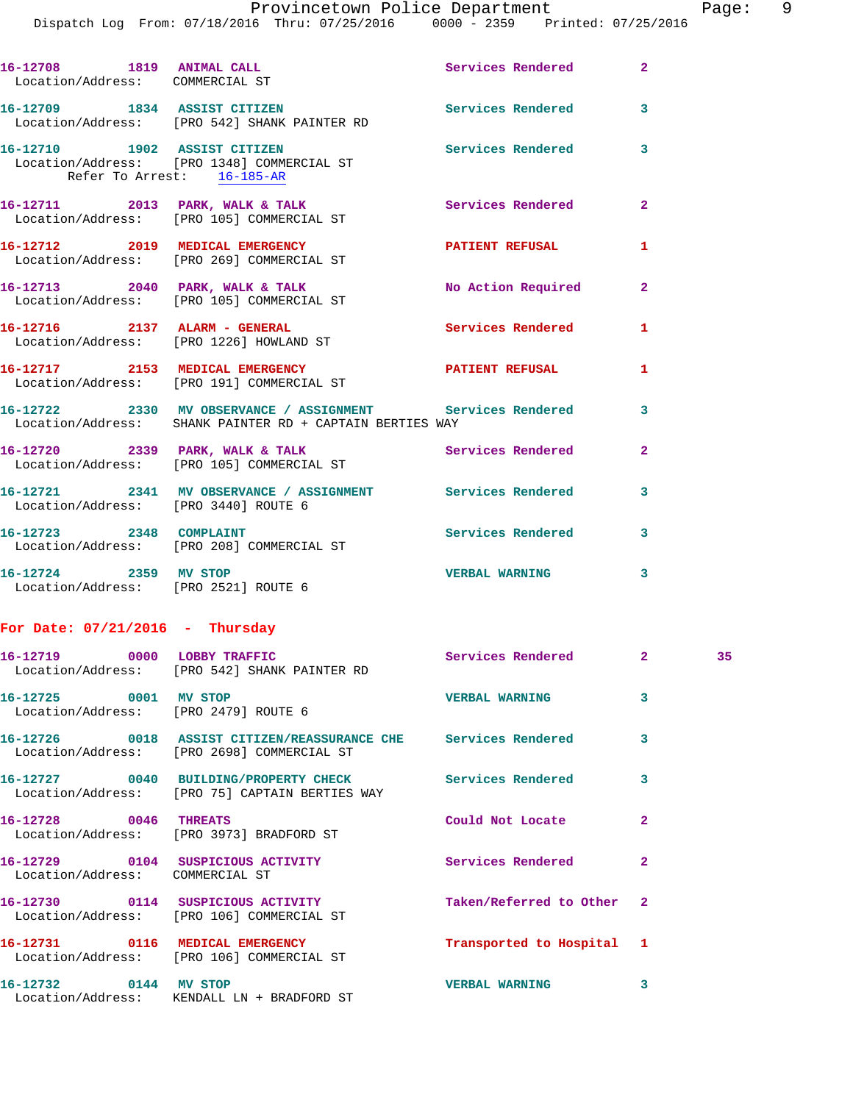$Page: 9$ <br>2016

|                                   | Provincetown Police Department                                                                                                                                     |                       |                         | Page |
|-----------------------------------|--------------------------------------------------------------------------------------------------------------------------------------------------------------------|-----------------------|-------------------------|------|
|                                   | Dispatch Log From: 07/18/2016 Thru: 07/25/2016 0000 - 2359 Printed: 07/25/2016                                                                                     |                       |                         |      |
|                                   | 16-12708 1819 ANIMAL CALL<br>Location/Address: COMMERCIAL ST                                                                                                       | Services Rendered 2   |                         |      |
|                                   | 16-12709 1834 ASSIST CITIZEN<br>Location/Address: [PRO 542] SHANK PAINTER RD                                                                                       | Services Rendered 3   |                         |      |
| Refer To Arrest: 16-185-AR        | 16-12710 1902 ASSIST CITIZEN<br>Location/Address: [PRO 1348] COMMERCIAL ST                                                                                         | Services Rendered     | 3                       |      |
|                                   | 16-12711 2013 PARK, WALK & TALK<br>Location/Address: [PRO 105] COMMERCIAL ST                                                                                       | Services Rendered 2   |                         |      |
|                                   | 16-12712 2019 MEDICAL EMERGENCY PATIENT REFUSAL<br>Location/Address: [PRO 269] COMMERCIAL ST                                                                       |                       | $\mathbf{1}$            |      |
|                                   | 16-12713 2040 PARK, WALK & TALK NO Action Required 2<br>Location/Address: [PRO 105] COMMERCIAL ST                                                                  |                       |                         |      |
|                                   | 16-12716 2137 ALARM - GENERAL<br>Location/Address: [PRO 1226] HOWLAND ST                                                                                           | Services Rendered 1   |                         |      |
|                                   | 16-12717 2153 MEDICAL EMERGENCY<br>Location/Address: [PRO 191] COMMERCIAL ST                                                                                       | PATIENT REFUSAL       | $\mathbf{1}$            |      |
|                                   | 16-12722 2330 MV OBSERVANCE / ASSIGNMENT<br>16-12722 2330 MV OBSERVANCE / ASSIGNMENT SETVICES Rendered<br>Location/Address: SHANK PAINTER RD + CAPTAIN BERTIES WAY |                       |                         |      |
|                                   | 16-12720 2339 PARK, WALK & TALK Services Rendered<br>Location/Address: [PRO 105] COMMERCIAL ST                                                                     |                       | $\overline{2}$          |      |
|                                   | 16-12721 2341 MV OBSERVANCE / ASSIGNMENT Services Rendered<br>Location/Address: [PRO 3440] ROUTE 6                                                                 |                       | 3                       |      |
| 16-12723 2348 COMPLAINT           | Location/Address: [PRO 208] COMMERCIAL ST                                                                                                                          | Services Rendered     | 3                       |      |
|                                   | 16-12724 2359 MV STOP<br>Location/Address: [PRO 2521] ROUTE 6                                                                                                      | <b>VERBAL WARNING</b> | $\overline{\mathbf{3}}$ |      |
| For Date: $07/21/2016$ - Thursday |                                                                                                                                                                    |                       |                         |      |
|                                   | 16-12719 0000 LOBBY TRAFFIC<br>Location/Address: [PRO 542] SHANK PAINTER RD                                                                                        | Services Rendered 2   |                         | 35   |
| 16-12725 0001 MV STOP             | UUUL MV STOP<br>Location/Address: [PRO 2479] ROUTE 6                                                                                                               | <b>VERBAL WARNING</b> | 3                       |      |

**16-12726 0018 ASSIST CITIZEN/REASSURANCE CHE Services Rendered 3**  Location/Address: [PRO 2698] COMMERCIAL ST **16-12727 0040 BUILDING/PROPERTY CHECK Services Rendered 3**  Location/Address: [PRO 75] CAPTAIN BERTIES WAY **16-12728 0046 THREATS Could Not Locate 2**  Location/Address: [PRO 3973] BRADFORD ST **16-12729 0104 SUSPICIOUS ACTIVITY Services Rendered 2**  Location/Address: COMMERCIAL ST **16-12730 0114 SUSPICIOUS ACTIVITY Taken/Referred to Other 2**  Location/Address: [PRO 106] COMMERCIAL ST **16-12731 0116 MEDICAL EMERGENCY Transported to Hospital 1**  Location/Address: [PRO 106] COMMERCIAL ST **16-12732 0144 MV STOP VERBAL WARNING 3**  Location/Address: KENDALL LN + BRADFORD ST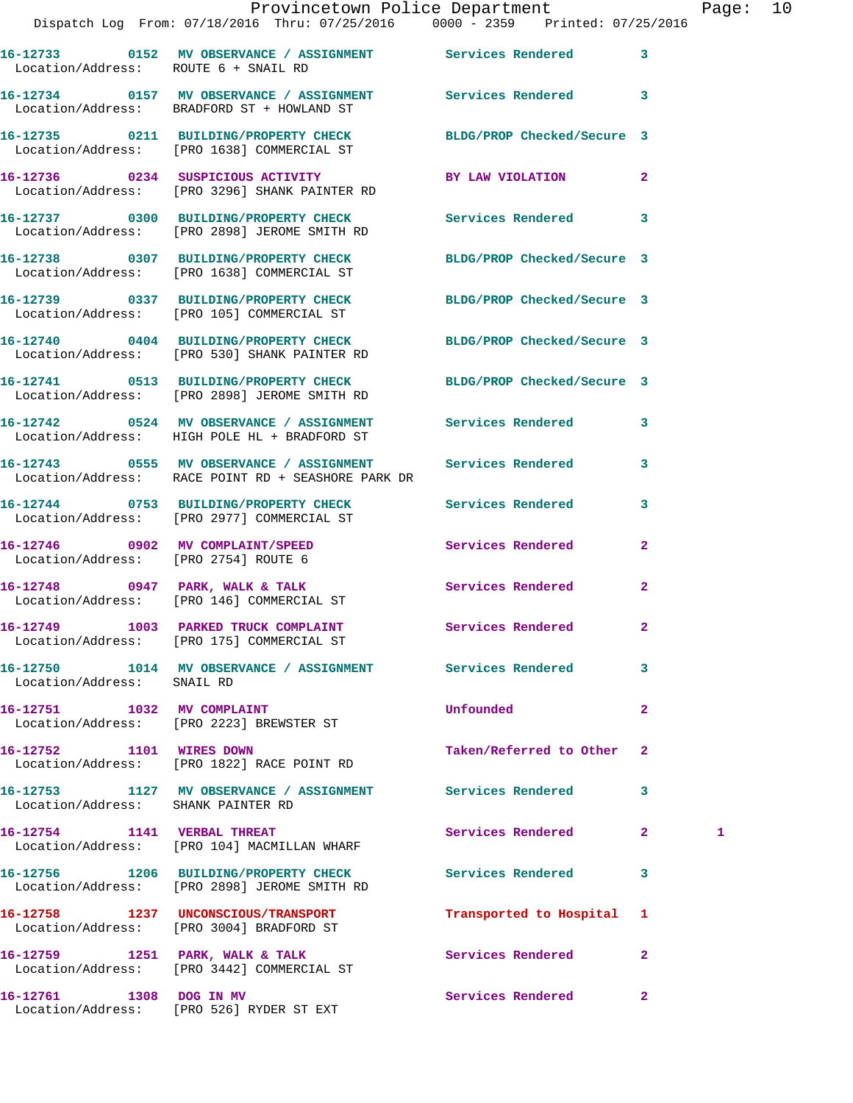|                                      | Dispatch Log From: 07/18/2016 Thru: 07/25/2016 0000 - 2359 Printed: 07/25/2016                                     | Provincetown Police Department Page: 10 |   |  |
|--------------------------------------|--------------------------------------------------------------------------------------------------------------------|-----------------------------------------|---|--|
|                                      |                                                                                                                    |                                         |   |  |
| Location/Address: ROUTE 6 + SNAIL RD | 16-12733 0152 MV OBSERVANCE / ASSIGNMENT Services Rendered 3                                                       |                                         |   |  |
|                                      | 16-12734 0157 MV OBSERVANCE / ASSIGNMENT Services Rendered 3<br>Location/Address: BRADFORD ST + HOWLAND ST         |                                         |   |  |
|                                      | 16-12735 0211 BUILDING/PROPERTY CHECK BLDG/PROP Checked/Secure 3<br>Location/Address: [PRO 1638] COMMERCIAL ST     |                                         |   |  |
|                                      | 16-12736 0234 SUSPICIOUS ACTIVITY BY LAW VIOLATION 2<br>Location/Address: [PRO 3296] SHANK PAINTER RD              |                                         |   |  |
|                                      | 16-12737 0300 BUILDING/PROPERTY CHECK Services Rendered 3<br>Location/Address: [PRO 2898] JEROME SMITH RD          |                                         |   |  |
|                                      | 16-12738 0307 BUILDING/PROPERTY CHECK BLDG/PROP Checked/Secure 3<br>Location/Address: [PRO 1638] COMMERCIAL ST     |                                         |   |  |
|                                      | 16-12739 0337 BUILDING/PROPERTY CHECK BLDG/PROP Checked/Secure 3<br>Location/Address: [PRO 105] COMMERCIAL ST      |                                         |   |  |
|                                      | 16-12740 0404 BUILDING/PROPERTY CHECK BLDG/PROP Checked/Secure 3<br>Location/Address: [PRO 530] SHANK PAINTER RD   |                                         |   |  |
|                                      | 16-12741 0513 BUILDING/PROPERTY CHECK BLDG/PROP Checked/Secure 3<br>Location/Address: [PRO 2898] JEROME SMITH RD   |                                         |   |  |
|                                      | 16-12742 0524 MV OBSERVANCE / ASSIGNMENT Services Rendered 3<br>Location/Address: HIGH POLE HL + BRADFORD ST       |                                         |   |  |
|                                      | 16-12743 0555 MV OBSERVANCE / ASSIGNMENT Services Rendered 3<br>Location/Address: RACE POINT RD + SEASHORE PARK DR |                                         |   |  |
|                                      | 16-12744 0753 BUILDING/PROPERTY CHECK Services Rendered<br>Location/Address: [PRO 2977] COMMERCIAL ST              | 3                                       |   |  |
|                                      | 16-12746 0902 MV COMPLAINT/SPEED Services Rendered 2<br>Location/Address: [PRO 2754] ROUTE 6                       |                                         |   |  |
|                                      | 16-12748 0947 PARK, WALK & TALK Services Rendered<br>Location/Address: [PRO 146] COMMERCIAL ST                     | $\mathbf{2}$                            |   |  |
|                                      | 16-12749 1003 PARKED TRUCK COMPLAINT<br>Location/Address: [PRO 175] COMMERCIAL ST                                  | Services Rendered                       |   |  |
| Location/Address: SNAIL RD           | 16-12750 1014 MV OBSERVANCE / ASSIGNMENT Services Rendered 3                                                       |                                         |   |  |
|                                      | 16-12751 1032 MV COMPLAINT<br>Location/Address: [PRO 2223] BREWSTER ST                                             | Unfounded<br>$\mathbf{2}$               |   |  |
| 16-12752 1101 WIRES DOWN             | Location/Address: [PRO 1822] RACE POINT RD                                                                         | Taken/Referred to Other 2               |   |  |
| Location/Address: SHANK PAINTER RD   | 16-12753 1127 MV OBSERVANCE / ASSIGNMENT Services Rendered                                                         | 3                                       |   |  |
|                                      | 16-12754 1141 VERBAL THREAT<br>Location/Address: [PRO 104] MACMILLAN WHARF                                         | Services Rendered 2                     | 1 |  |
|                                      | 16-12756 1206 BUILDING/PROPERTY CHECK Services Rendered 3<br>Location/Address: [PRO 2898] JEROME SMITH RD          |                                         |   |  |
|                                      | 16-12758 1237 UNCONSCIOUS/TRANSPORT<br>Location/Address: [PRO 3004] BRADFORD ST                                    | Transported to Hospital 1               |   |  |
|                                      | 16-12759 1251 PARK, WALK & TALK<br>Location/Address: [PRO 3442] COMMERCIAL ST                                      | Services Rendered 2                     |   |  |

**16-12761 1308 DOG IN MV Services Rendered 2**  Location/Address: [PRO 526] RYDER ST EXT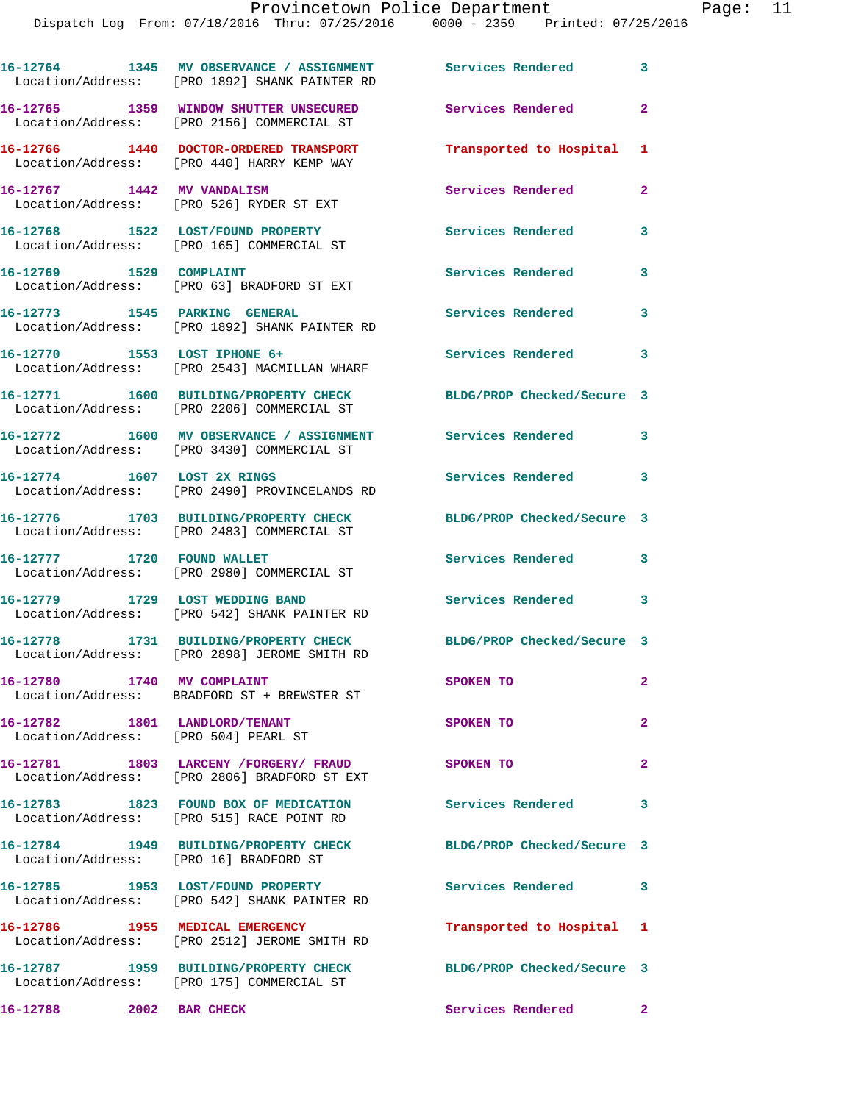|                                                                       | 16-12764 1345 MV OBSERVANCE / ASSIGNMENT Services Rendered<br>Location/Address: [PRO 1892] SHANK PAINTER RD |                            | 3              |
|-----------------------------------------------------------------------|-------------------------------------------------------------------------------------------------------------|----------------------------|----------------|
|                                                                       | 16-12765 1359 WINDOW SHUTTER UNSECURED<br>Location/Address: [PRO 2156] COMMERCIAL ST                        | <b>Services Rendered</b>   | $\mathbf{2}$   |
|                                                                       | 16-12766 1440 DOCTOR-ORDERED TRANSPORT<br>Location/Address: [PRO 440] HARRY KEMP WAY                        | Transported to Hospital    | 1              |
| 16-12767 1442 MV VANDALISM                                            | Location/Address: [PRO 526] RYDER ST EXT                                                                    | Services Rendered          | $\mathbf{2}$   |
|                                                                       | 16-12768 1522 LOST/FOUND PROPERTY<br>Location/Address: [PRO 165] COMMERCIAL ST                              | Services Rendered          | 3              |
| 16-12769 1529 COMPLAINT                                               | Location/Address: [PRO 63] BRADFORD ST EXT                                                                  | Services Rendered          | 3              |
| 16-12773 1545 PARKING GENERAL                                         | Location/Address: [PRO 1892] SHANK PAINTER RD                                                               | Services Rendered          | 3              |
|                                                                       | 16-12770 1553 LOST IPHONE 6+<br>Location/Address: [PRO 2543] MACMILLAN WHARF                                | Services Rendered          | 3              |
|                                                                       | 16-12771 1600 BUILDING/PROPERTY CHECK<br>Location/Address: [PRO 2206] COMMERCIAL ST                         | BLDG/PROP Checked/Secure 3 |                |
|                                                                       | 16-12772 1600 MV OBSERVANCE / ASSIGNMENT<br>Location/Address: [PRO 3430] COMMERCIAL ST                      | Services Rendered          | 3              |
| 16-12774 1607 LOST 2X RINGS                                           | Location/Address: [PRO 2490] PROVINCELANDS RD                                                               | Services Rendered          | 3              |
|                                                                       | 16-12776 1703 BUILDING/PROPERTY CHECK<br>Location/Address: [PRO 2483] COMMERCIAL ST                         | BLDG/PROP Checked/Secure 3 |                |
| 16-12777 1720 FOUND WALLET                                            | Location/Address: [PRO 2980] COMMERCIAL ST                                                                  | <b>Services Rendered</b>   | 3              |
| 16-12779 1729 LOST WEDDING BAND                                       | Location/Address: [PRO 542] SHANK PAINTER RD                                                                | Services Rendered          | 3              |
|                                                                       | 16-12778 1731 BUILDING/PROPERTY CHECK<br>Location/Address: [PRO 2898] JEROME SMITH RD                       | BLDG/PROP Checked/Secure 3 |                |
| 16-12780 1740 MV COMPLAINT                                            | Location/Address: BRADFORD ST + BREWSTER ST                                                                 | SPOKEN TO                  | $\mathbf{2}$   |
| 16-12782 1801 LANDLORD/TENANT<br>Location/Address: [PRO 504] PEARL ST |                                                                                                             | SPOKEN TO                  | $\overline{a}$ |
|                                                                       | 16-12781 1803 LARCENY / FORGERY / FRAUD<br>Location/Address: [PRO 2806] BRADFORD ST EXT                     | SPOKEN TO                  | $\mathbf{2}$   |
|                                                                       | 16-12783 1823 FOUND BOX OF MEDICATION<br>Location/Address: [PRO 515] RACE POINT RD                          | Services Rendered          | 3              |
| Location/Address: [PRO 16] BRADFORD ST                                | 16-12784 1949 BUILDING/PROPERTY CHECK                                                                       | BLDG/PROP Checked/Secure 3 |                |
|                                                                       | 16-12785 1953 LOST/FOUND PROPERTY<br>Location/Address: [PRO 542] SHANK PAINTER RD                           | <b>Services Rendered</b>   | 3              |
|                                                                       | 16-12786 1955 MEDICAL EMERGENCY<br>Location/Address: [PRO 2512] JEROME SMITH RD                             | Transported to Hospital    | 1              |
|                                                                       | 16-12787 1959 BUILDING/PROPERTY CHECK<br>Location/Address: [PRO 175] COMMERCIAL ST                          | BLDG/PROP Checked/Secure 3 |                |
| 16-12788 2002 BAR CHECK                                               |                                                                                                             | Services Rendered          | $\mathbf{2}$   |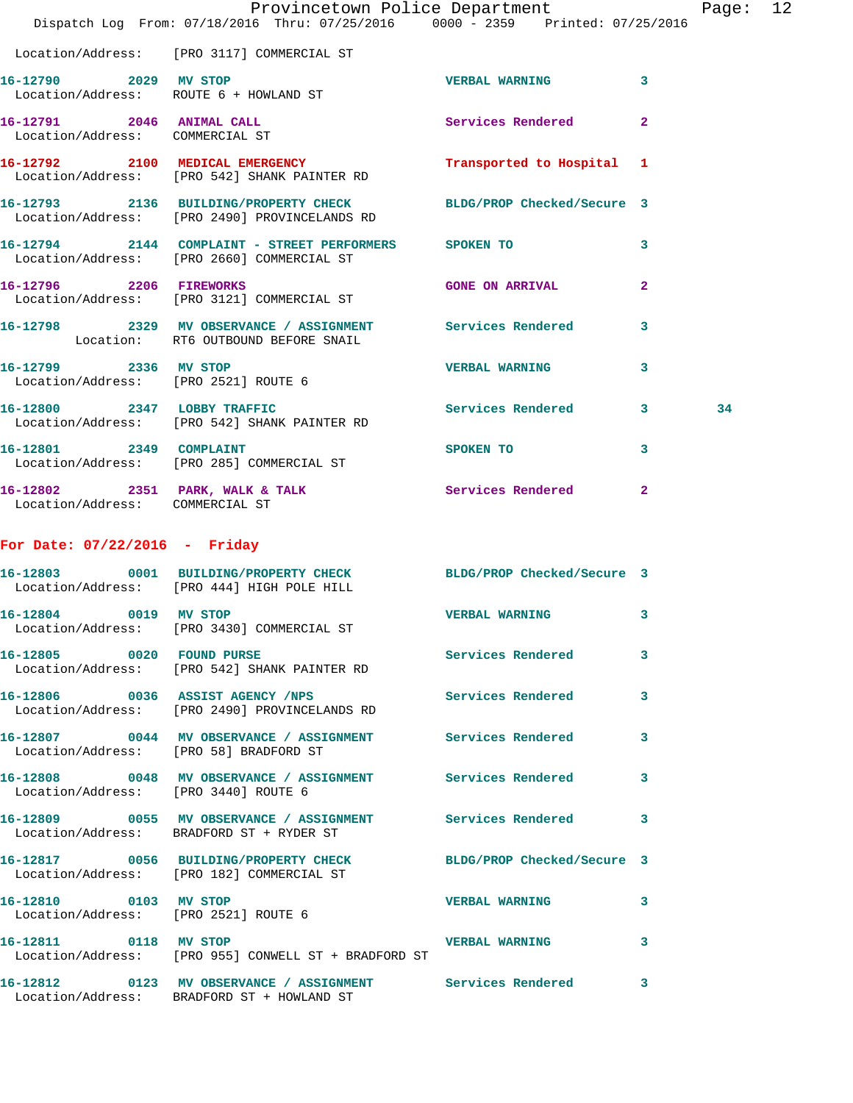|                                                              | Dispatch Log From: 07/18/2016 Thru: 07/25/2016 0000 - 2359 Printed: 07/25/2016                                    | Provincetown Police Department |                | Page: 12 |  |
|--------------------------------------------------------------|-------------------------------------------------------------------------------------------------------------------|--------------------------------|----------------|----------|--|
|                                                              | Location/Address: [PRO 3117] COMMERCIAL ST                                                                        |                                |                |          |  |
| 16-12790 2029 MV STOP                                        | Location/Address: ROUTE 6 + HOWLAND ST                                                                            | <b>VERBAL WARNING 3</b>        |                |          |  |
| 16-12791 2046 ANIMAL CALL<br>Location/Address: COMMERCIAL ST |                                                                                                                   | Services Rendered              | $\overline{2}$ |          |  |
|                                                              | 16-12792 2100 MEDICAL EMERGENCY<br>Location/Address: [PRO 542] SHANK PAINTER RD                                   | Transported to Hospital 1      |                |          |  |
|                                                              | 16-12793 2136 BUILDING/PROPERTY CHECK BLDG/PROP Checked/Secure 3<br>Location/Address: [PRO 2490] PROVINCELANDS RD |                                |                |          |  |
|                                                              | 16-12794 2144 COMPLAINT - STREET PERFORMERS SPOKEN TO<br>Location/Address: [PRO 2660] COMMERCIAL ST               |                                | 3              |          |  |
|                                                              | 16-12796 2206 FIREWORKS<br>Location/Address: [PRO 3121] COMMERCIAL ST                                             | <b>GONE ON ARRIVAL</b>         | $\overline{2}$ |          |  |
|                                                              | 16-12798 2329 MV OBSERVANCE / ASSIGNMENT Services Rendered<br>Location: RT6 OUTBOUND BEFORE SNAIL                 |                                | 3              |          |  |
| 16-12799 2336 MV STOP                                        | Location/Address: [PRO 2521] ROUTE 6                                                                              | <b>VERBAL WARNING</b>          | 3              |          |  |
|                                                              | 16-12800 2347 LOBBY TRAFFIC<br>Location/Address: [PRO 542] SHANK PAINTER RD                                       | Services Rendered 3            |                | 34       |  |
|                                                              | 16-12801 2349 COMPLAINT<br>Location/Address: [PRO 285] COMMERCIAL ST                                              | SPOKEN TO                      | 3              |          |  |
| Location/Address: COMMERCIAL ST                              | 16-12802 2351 PARK, WALK & TALK 3 Services Rendered                                                               |                                | $\overline{2}$ |          |  |
| For Date: $07/22/2016$ - Friday                              |                                                                                                                   |                                |                |          |  |
|                                                              | 16-12803 0001 BUILDING/PROPERTY CHECK BLDG/PROP Checked/Secure 3<br>Location/Address: [PRO 444] HIGH POLE HILL    |                                |                |          |  |
| 16-12804 0019 MV STOP                                        | Location/Address: [PRO 3430] COMMERCIAL ST                                                                        | <b>VERBAL WARNING</b> 3        |                |          |  |
|                                                              | 16-12805 0020 FOUND PURSE 2000 Services Rendered 3<br>Location/Address: [PRO 542] SHANK PAINTER RD                |                                |                |          |  |
|                                                              | 16-12806 0036 ASSIST AGENCY /NPS Services Rendered 3<br>Location/Address: [PRO 2490] PROVINCELANDS RD             |                                |                |          |  |
| Location/Address: [PRO 58] BRADFORD ST                       | 16-12807 0044 MV OBSERVANCE / ASSIGNMENT Services Rendered 3                                                      |                                |                |          |  |
| Location/Address: [PRO 3440] ROUTE 6                         | 16-12808 0048 MV OBSERVANCE / ASSIGNMENT Services Rendered 3                                                      |                                |                |          |  |
|                                                              | 16-12809 0055 MV OBSERVANCE / ASSIGNMENT Services Rendered 3<br>Location/Address: BRADFORD ST + RYDER ST          |                                |                |          |  |
|                                                              | 16-12817 0056 BUILDING/PROPERTY CHECK BLDG/PROP Checked/Secure 3<br>Location/Address: [PRO 182] COMMERCIAL ST     |                                |                |          |  |
| Location/Address: [PRO 2521] ROUTE 6                         | 16-12810 0103 MV STOP                                                                                             | VERBAL WARNING 3               |                |          |  |
| 16-12811 0118 MV STOP                                        | Location/Address: [PRO 955] CONWELL ST + BRADFORD ST                                                              | VERBAL WARNING 3               |                |          |  |
|                                                              | 16-12812 0123 MV OBSERVANCE / ASSIGNMENT Services Rendered 3<br>Location/Address: BRADFORD ST + HOWLAND ST        |                                |                |          |  |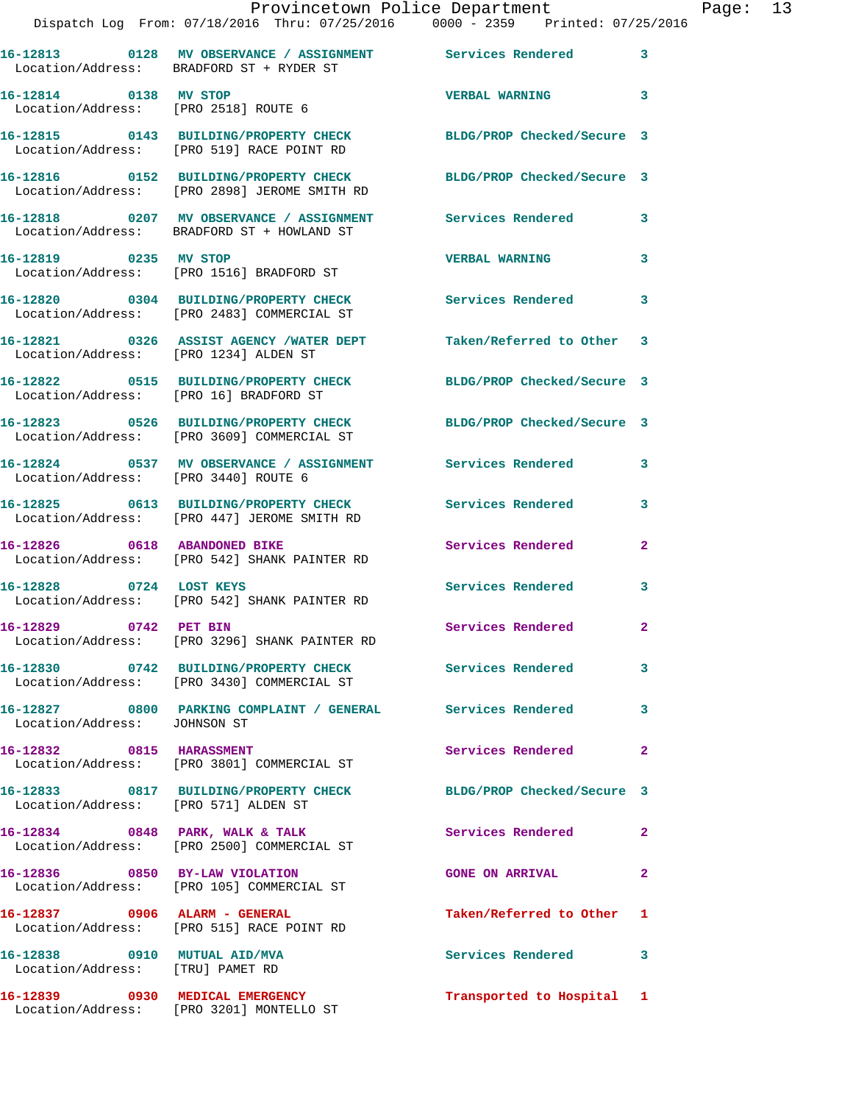|                                                                  | Dispatch Log From: 07/18/2016 Thru: 07/25/2016 0000 - 2359 Printed: 07/25/2016                                      | Provincetown Police Department Page: 13 |              |  |
|------------------------------------------------------------------|---------------------------------------------------------------------------------------------------------------------|-----------------------------------------|--------------|--|
|                                                                  | 16-12813 0128 MV OBSERVANCE / ASSIGNMENT Services Rendered<br>Location/Address: BRADFORD ST + RYDER ST              |                                         | $\mathbf{3}$ |  |
| 16-12814 0138 MV STOP                                            | Location/Address: [PRO 2518] ROUTE 6                                                                                | <b>VERBAL WARNING 3</b>                 |              |  |
|                                                                  | 16-12815   0143   BUILDING/PROPERTY CHECK   BLDG/PROP Checked/Secure 3<br>Location/Address: [PRO 519] RACE POINT RD |                                         |              |  |
|                                                                  | 16-12816 0152 BUILDING/PROPERTY CHECK BLDG/PROP Checked/Secure 3<br>Location/Address: [PRO 2898] JEROME SMITH RD    |                                         |              |  |
|                                                                  | 16-12818 0207 MV OBSERVANCE / ASSIGNMENT Services Rendered 3<br>Location/Address: BRADFORD ST + HOWLAND ST          |                                         |              |  |
|                                                                  | 16-12819 0235 MV STOP<br>Location/Address: [PRO 1516] BRADFORD ST                                                   | <b>VERBAL WARNING</b>                   | 3            |  |
|                                                                  | 16-12820 0304 BUILDING/PROPERTY CHECK Services Rendered<br>Location/Address: [PRO 2483] COMMERCIAL ST               |                                         | 3            |  |
|                                                                  | 16-12821 0326 ASSIST AGENCY /WATER DEPT Taken/Referred to Other 3<br>Location/Address: [PRO 1234] ALDEN ST          |                                         |              |  |
|                                                                  | 16-12822 0515 BUILDING/PROPERTY CHECK BLDG/PROP Checked/Secure 3<br>Location/Address: [PRO 16] BRADFORD ST          |                                         |              |  |
|                                                                  | 16-12823 0526 BUILDING/PROPERTY CHECK BLDG/PROP Checked/Secure 3<br>Location/Address: [PRO 3609] COMMERCIAL ST      |                                         |              |  |
| Location/Address: [PRO 3440] ROUTE 6                             | 16-12824 0537 MV OBSERVANCE / ASSIGNMENT Services Rendered 3                                                        |                                         |              |  |
|                                                                  | 16-12825 0613 BUILDING/PROPERTY CHECK Services Rendered<br>Location/Address: [PRO 447] JEROME SMITH RD              |                                         | 3            |  |
| 16-12826 0618 ABANDONED BIKE                                     | Location/Address: [PRO 542] SHANK PAINTER RD                                                                        | Services Rendered                       | $\mathbf{2}$ |  |
|                                                                  | 16-12828 0724 LOST KEYS<br>Location/Address: [PRO 542] SHANK PAINTER RD                                             | Services Rendered                       | $\mathbf{3}$ |  |
| 16-12829 0742 PET BIN                                            | Location/Address: [PRO 3296] SHANK PAINTER RD                                                                       | Services Rendered                       |              |  |
|                                                                  | 16-12830 0742 BUILDING/PROPERTY CHECK Services Rendered<br>Location/Address: [PRO 3430] COMMERCIAL ST               |                                         | 3            |  |
| Location/Address: JOHNSON ST                                     | 16-12827 0800 PARKING COMPLAINT / GENERAL Services Rendered                                                         |                                         | 3            |  |
|                                                                  | 16-12832 0815 HARASSMENT<br>Location/Address: [PRO 3801] COMMERCIAL ST                                              | Services Rendered                       | $\mathbf{2}$ |  |
| Location/Address: [PRO 571] ALDEN ST                             | 16-12833 0817 BUILDING/PROPERTY CHECK BLDG/PROP Checked/Secure 3                                                    |                                         |              |  |
|                                                                  | 16-12834 0848 PARK, WALK & TALK<br>Location/Address: [PRO 2500] COMMERCIAL ST                                       | Services Rendered                       | $\mathbf{2}$ |  |
|                                                                  | 16-12836 0850 BY-LAW VIOLATION<br>Location/Address: [PRO 105] COMMERCIAL ST                                         | <b>GONE ON ARRIVAL</b>                  | $\mathbf{2}$ |  |
|                                                                  | 16-12837 0906 ALARM - GENERAL<br>Location/Address: [PRO 515] RACE POINT RD                                          | Taken/Referred to Other 1               |              |  |
| 16-12838 0910 MUTUAL AID/MVA<br>Location/Address: [TRU] PAMET RD |                                                                                                                     | Services Rendered                       | $\mathbf{3}$ |  |
|                                                                  | 16-12839 0930 MEDICAL EMERGENCY                                                                                     | Transported to Hospital 1               |              |  |

Location/Address: [PRO 3201] MONTELLO ST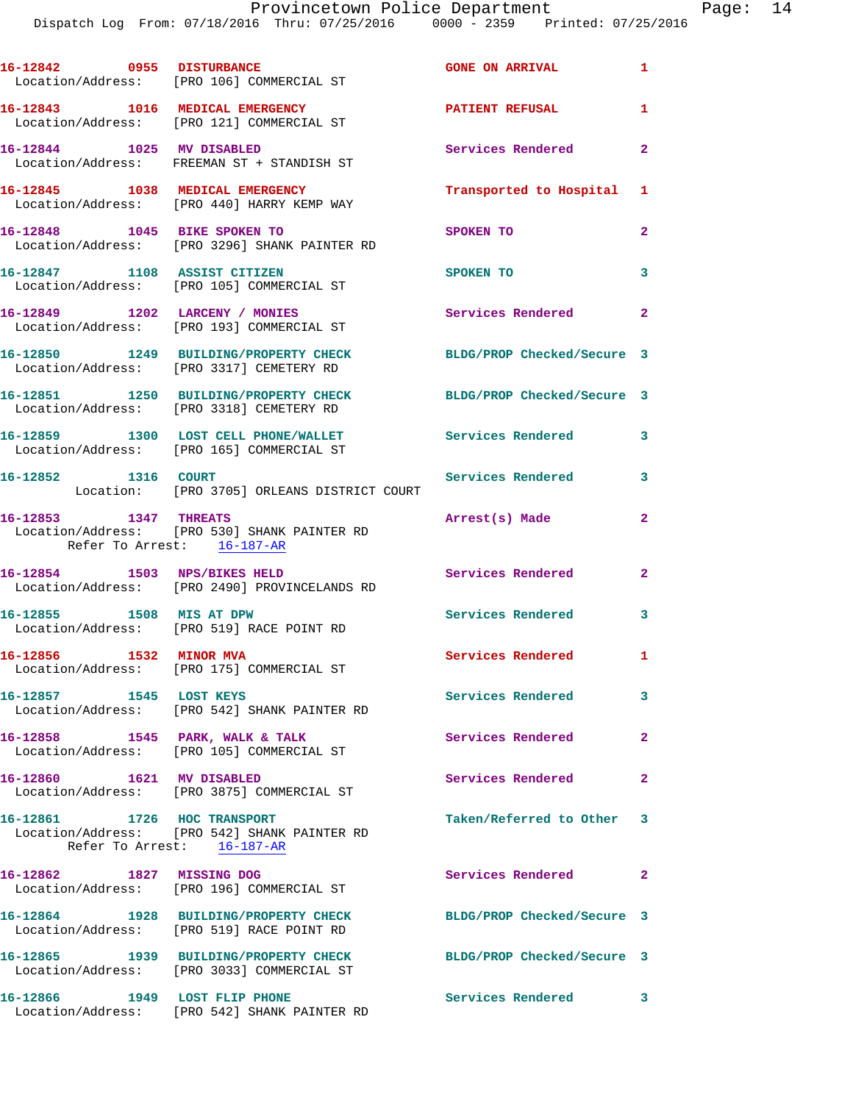| 16-12842 0955 DISTURBANCE                           | Location/Address: [PRO 106] COMMERCIAL ST                                           | <b>GONE ON ARRIVAL</b>        | $\mathbf{1}$               |
|-----------------------------------------------------|-------------------------------------------------------------------------------------|-------------------------------|----------------------------|
|                                                     | 16-12843 1016 MEDICAL EMERGENCY<br>Location/Address: [PRO 121] COMMERCIAL ST        | <b>PATIENT REFUSAL</b>        | 1                          |
| 16-12844 1025 MV DISABLED                           | Location/Address: FREEMAN ST + STANDISH ST                                          | Services Rendered 2           |                            |
|                                                     | 16-12845 1038 MEDICAL EMERGENCY<br>Location/Address: [PRO 440] HARRY KEMP WAY       | Transported to Hospital 1     |                            |
| 16-12848 1045 BIKE SPOKEN TO                        | Location/Address: [PRO 3296] SHANK PAINTER RD                                       | SPOKEN TO                     | $\overline{2}$             |
| 16-12847 1108 ASSIST CITIZEN                        | Location/Address: [PRO 105] COMMERCIAL ST                                           | SPOKEN TO                     | 3                          |
|                                                     | 16-12849 1202 LARCENY / MONIES<br>Location/Address: [PRO 193] COMMERCIAL ST         | Services Rendered<br>$\sim$ 2 |                            |
|                                                     | 16-12850 1249 BUILDING/PROPERTY CHECK<br>Location/Address: [PRO 3317] CEMETERY RD   | BLDG/PROP Checked/Secure 3    |                            |
|                                                     | 16-12851 1250 BUILDING/PROPERTY CHECK<br>Location/Address: [PRO 3318] CEMETERY RD   | BLDG/PROP Checked/Secure 3    |                            |
|                                                     | 16-12859 1300 LOST CELL PHONE/WALLET<br>Location/Address: [PRO 165] COMMERCIAL ST   | Services Rendered             | 3                          |
| 16-12852 1316 COURT                                 | Location: [PRO 3705] ORLEANS DISTRICT COURT                                         | Services Rendered             | 3                          |
| 16-12853 1347 THREATS<br>Refer To Arrest: 16-187-AR | Location/Address: [PRO 530] SHANK PAINTER RD                                        | Arrest(s) Made                | $\mathbf{2}$               |
| 16-12854 1503 NPS/BIKES HELD                        | Location/Address: [PRO 2490] PROVINCELANDS RD                                       | Services Rendered             | $\overline{2}$             |
| 16-12855 1508 MIS AT DPW                            | Location/Address: [PRO 519] RACE POINT RD                                           | <b>Services Rendered</b>      | 3                          |
| 16-12856 1532 MINOR MVA                             | Location/Address: [PRO 175] COMMERCIAL ST                                           | Services Rendered 1           |                            |
| 16-12857 1545 LOST KEYS                             | Location/Address: [PRO 542] SHANK PAINTER RD                                        | Services Rendered             | $\sim$ 3                   |
|                                                     | 16-12858 1545 PARK, WALK & TALK<br>Location/Address: [PRO 105] COMMERCIAL ST        | Services Rendered             | $\mathbf{2}$               |
| 16-12860 1621 MV DISABLED                           | Location/Address: [PRO 3875] COMMERCIAL ST                                          | Services Rendered             | $\mathbf{2}$               |
| 16-12861 1726 HOC TRANSPORT                         | Location/Address: [PRO 542] SHANK PAINTER RD<br>Refer To Arrest: 16-187-AR          | Taken/Referred to Other 3     |                            |
| 16-12862 1827 MISSING DOG                           | Location/Address: [PRO 196] COMMERCIAL ST                                           | Services Rendered             | $\overline{\phantom{0}}$ 2 |
|                                                     | 16-12864 1928 BUILDING/PROPERTY CHECK<br>Location/Address: [PRO 519] RACE POINT RD  | BLDG/PROP Checked/Secure 3    |                            |
|                                                     | 16-12865 1939 BUILDING/PROPERTY CHECK<br>Location/Address: [PRO 3033] COMMERCIAL ST | BLDG/PROP Checked/Secure 3    |                            |
| 16-12866 1949 LOST FLIP PHONE                       | Location/Address: [PRO 542] SHANK PAINTER RD                                        | Services Rendered 3           |                            |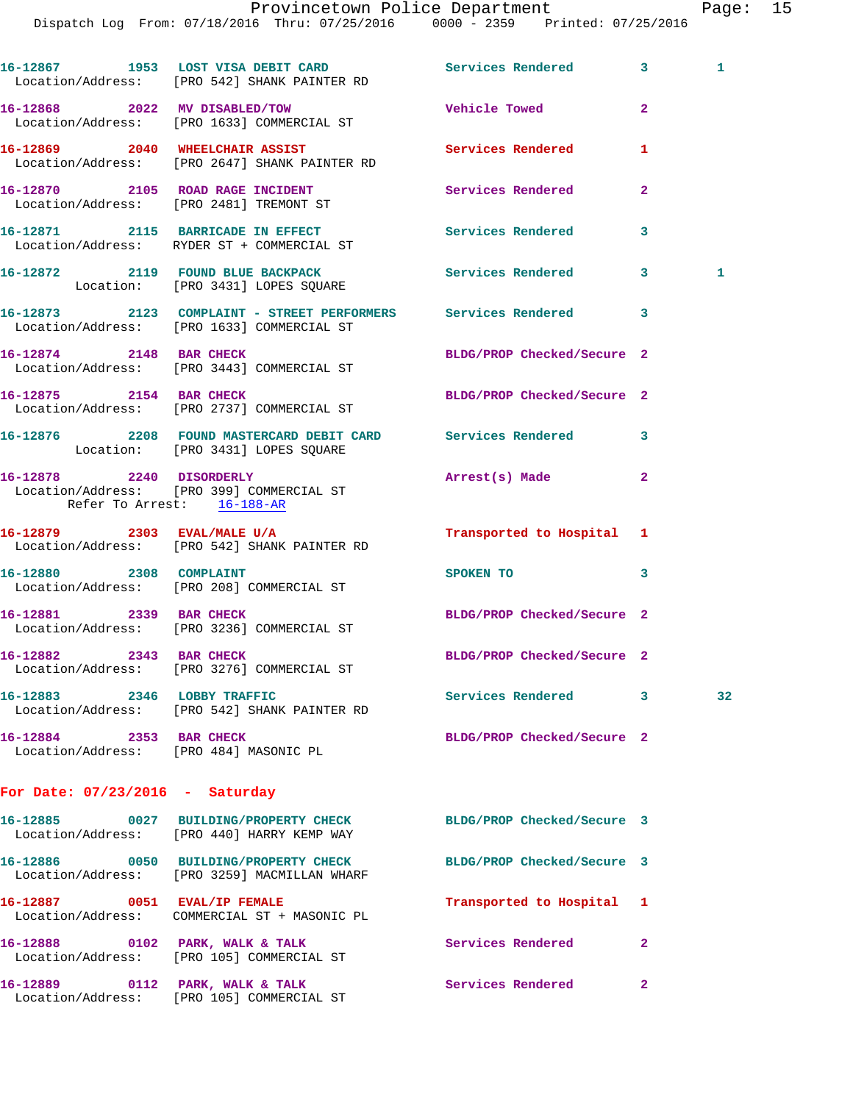16-12867 1953 LOST VISA DEBIT CARD **Services Rendered** 3 1 Location/Address: [PRO 542] SHANK PAINTER RD **16-12868 2022 MV DISABLED/TOW Vehicle Towed 2**  Location/Address: [PRO 1633] COMMERCIAL ST **16-12869 2040 WHEELCHAIR ASSIST Services Rendered 1**  Location/Address: [PRO 2647] SHANK PAINTER RD **16-12870 2105 ROAD RAGE INCIDENT Services Rendered 2**  Location/Address: [PRO 2481] TREMONT ST **16-12871 2115 BARRICADE IN EFFECT Services Rendered 3**  Location/Address: RYDER ST + COMMERCIAL ST 16-12872 2119 FOUND BLUE BACKPACK Services Rendered 3 1 Location: [PRO 3431] LOPES SQUARE **16-12873 2123 COMPLAINT - STREET PERFORMERS Services Rendered 3**  Location/Address: [PRO 1633] COMMERCIAL ST **16-12874 2148 BAR CHECK BLDG/PROP Checked/Secure 2**  Location/Address: [PRO 3443] COMMERCIAL ST **16-12875 2154 BAR CHECK BLDG/PROP Checked/Secure 2**  Location/Address: [PRO 2737] COMMERCIAL ST **16-12876 2208 FOUND MASTERCARD DEBIT CARD Services Rendered 3**  Location: [PRO 3431] LOPES SQUARE **16-12878 2240 DISORDERLY Arrest(s) Made 2**  Location/Address: [PRO 399] COMMERCIAL ST Refer To Arrest: 16-188-AR **16-12879 2303 EVAL/MALE U/A Transported to Hospital 1**  Location/Address: [PRO 542] SHANK PAINTER RD **16-12880** 2308 COMPLAINT SPOKEN TO 3 Location/Address: [PRO 208] COMMERCIAL ST **16-12881 2339 BAR CHECK BLDG/PROP Checked/Secure 2**  Location/Address: [PRO 3236] COMMERCIAL ST **16-12882 2343 BAR CHECK BLDG/PROP Checked/Secure 2**  Location/Address: [PRO 3276] COMMERCIAL ST **16-12883 2346 LOBBY TRAFFIC Services Rendered 3 32**  Location/Address: [PRO 542] SHANK PAINTER RD **16-12884 2353 BAR CHECK BLDG/PROP Checked/Secure 2**  Location/Address: [PRO 484] MASONIC PL **For Date: 07/23/2016 - Saturday 16-12885 0027 BUILDING/PROPERTY CHECK BLDG/PROP Checked/Secure 3**  Location/Address: [PRO 440] HARRY KEMP WAY **16-12886 0050 BUILDING/PROPERTY CHECK BLDG/PROP Checked/Secure 3**  Location/Address: [PRO 3259] MACMILLAN WHARF **16-12887 0051 EVAL/IP FEMALE Transported to Hospital 1**  Location/Address: COMMERCIAL ST + MASONIC PL 16-12888 0102 PARK, WALK & TALK Services Rendered 2 Location/Address: [PRO 105] COMMERCIAL ST **16-12889 0112 PARK, WALK & TALK Services Rendered 2**  Location/Address: [PRO 105] COMMERCIAL ST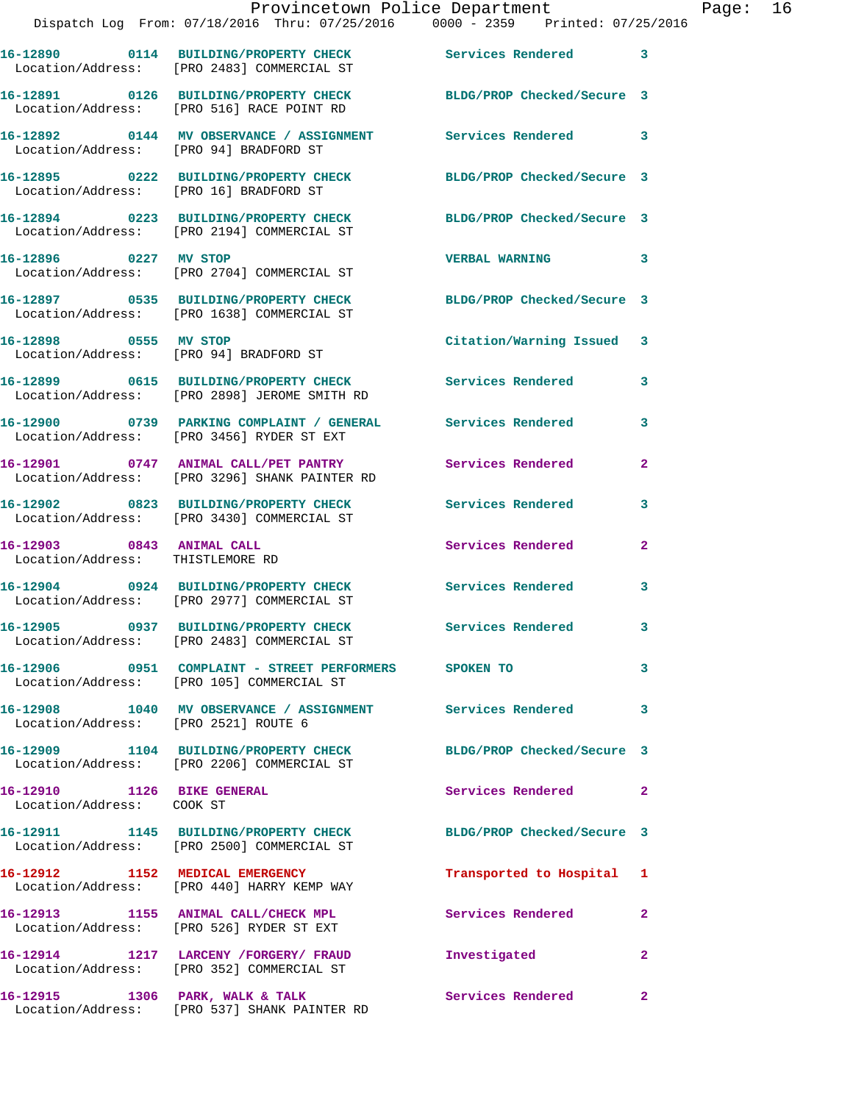|                                                               | Dispatch Log From: 07/18/2016 Thru: 07/25/2016 0000 - 2359 Printed: 07/25/2016                                 | Provincetown Police Department | Page: 16     |
|---------------------------------------------------------------|----------------------------------------------------------------------------------------------------------------|--------------------------------|--------------|
|                                                               | 16-12890 0114 BUILDING/PROPERTY CHECK Services Rendered 3<br>Location/Address: [PRO 2483] COMMERCIAL ST        |                                |              |
|                                                               | 16-12891 0126 BUILDING/PROPERTY CHECK BLDG/PROP Checked/Secure 3<br>Location/Address: [PRO 516] RACE POINT RD  |                                |              |
|                                                               | 16-12892 0144 MV OBSERVANCE / ASSIGNMENT Services Rendered 3<br>Location/Address: [PRO 94] BRADFORD ST         |                                |              |
|                                                               | 16-12895 0222 BUILDING/PROPERTY CHECK BLDG/PROP Checked/Secure 3<br>Location/Address: [PRO 16] BRADFORD ST     |                                |              |
|                                                               | 16-12894 0223 BUILDING/PROPERTY CHECK BLDG/PROP Checked/Secure 3<br>Location/Address: [PRO 2194] COMMERCIAL ST |                                |              |
| 16-12896 0227 MV STOP                                         | Location/Address: [PRO 2704] COMMERCIAL ST                                                                     | <b>VERBAL WARNING</b>          | 3            |
|                                                               | 16-12897 0535 BUILDING/PROPERTY CHECK BLDG/PROP Checked/Secure 3<br>Location/Address: [PRO 1638] COMMERCIAL ST |                                |              |
|                                                               | 16-12898 0555 MV STOP<br>Location/Address: [PRO 94] BRADFORD ST                                                | Citation/Warning Issued 3      |              |
|                                                               | 16-12899 0615 BUILDING/PROPERTY CHECK Services Rendered 3<br>Location/Address: [PRO 2898] JEROME SMITH RD      |                                |              |
|                                                               | 16-12900 0739 PARKING COMPLAINT / GENERAL Services Rendered<br>Location/Address: [PRO 3456] RYDER ST EXT       |                                | 3            |
|                                                               | 16-12901 0747 ANIMAL CALL/PET PANTRY Services Rendered<br>Location/Address: [PRO 3296] SHANK PAINTER RD        |                                | $\mathbf{2}$ |
|                                                               | 16-12902 0823 BUILDING/PROPERTY CHECK Services Rendered<br>Location/Address: [PRO 3430] COMMERCIAL ST          |                                | 3            |
| 16-12903 0843 ANIMAL CALL<br>Location/Address: THISTLEMORE RD |                                                                                                                | Services Rendered              | $\mathbf{2}$ |
|                                                               | 16-12904 0924 BUILDING/PROPERTY CHECK Services Rendered 3<br>Location/Address: [PRO 2977] COMMERCIAL ST        |                                |              |
|                                                               | 16-12905 0937 BUILDING/PROPERTY CHECK<br>Location/Address: [PRO 2483] COMMERCIAL ST                            | <b>Services Rendered</b>       |              |
|                                                               | 16-12906 0951 COMPLAINT - STREET PERFORMERS SPOKEN TO<br>Location/Address: [PRO 105] COMMERCIAL ST             |                                | 3            |
| Location/Address: [PRO 2521] ROUTE 6                          | 16-12908 1040 MV OBSERVANCE / ASSIGNMENT Services Rendered                                                     |                                | 3            |
|                                                               | 16-12909 1104 BUILDING/PROPERTY CHECK BLDG/PROP Checked/Secure 3<br>Location/Address: [PRO 2206] COMMERCIAL ST |                                |              |
| 16-12910 1126 BIKE GENERAL<br>Location/Address: COOK ST       |                                                                                                                | Services Rendered 2            |              |
|                                                               | 16-12911 1145 BUILDING/PROPERTY CHECK<br>Location/Address: [PRO 2500] COMMERCIAL ST                            | BLDG/PROP Checked/Secure 3     |              |
|                                                               | 16-12912 1152 MEDICAL EMERGENCY<br>Location/Address: [PRO 440] HARRY KEMP WAY                                  | Transported to Hospital 1      |              |
|                                                               | 16-12913 1155 ANIMAL CALL/CHECK MPL<br>Location/Address: [PRO 526] RYDER ST EXT                                | Services Rendered              | -2           |
|                                                               | 16-12914 1217 LARCENY /FORGERY / FRAUD<br>Location/Address: [PRO 352] COMMERCIAL ST                            | Investigated                   | $\mathbf{2}$ |
|                                                               | 16-12915 1306 PARK, WALK & TALK<br>Location/Address: [PRO 537] SHANK PAINTER RD                                | Services Rendered              | -2           |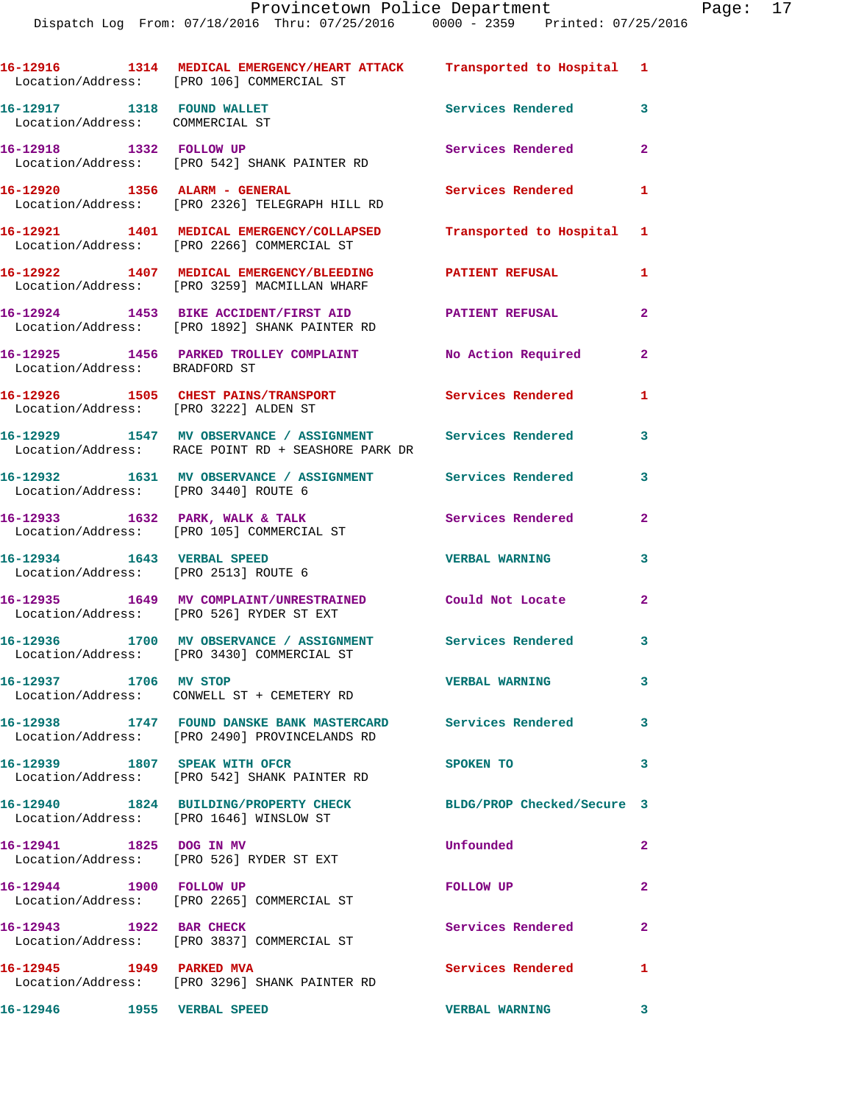|                                                                    | 16-12916 1314 MEDICAL EMERGENCY/HEART ATTACK Transported to Hospital 1<br>Location/Address: [PRO 106] COMMERCIAL ST |                            |                |
|--------------------------------------------------------------------|---------------------------------------------------------------------------------------------------------------------|----------------------------|----------------|
| 16-12917 1318 FOUND WALLET<br>Location/Address: COMMERCIAL ST      |                                                                                                                     | Services Rendered          | 3              |
| 16-12918 1332 FOLLOW UP                                            | Location/Address: [PRO 542] SHANK PAINTER RD                                                                        | Services Rendered          | $\overline{2}$ |
| 16-12920 1356 ALARM - GENERAL                                      | Location/Address: [PRO 2326] TELEGRAPH HILL RD                                                                      | Services Rendered          | $\mathbf{1}$   |
|                                                                    | 16-12921 1401 MEDICAL EMERGENCY/COLLAPSED<br>Location/Address: [PRO 2266] COMMERCIAL ST                             | Transported to Hospital 1  |                |
|                                                                    | 16-12922 1407 MEDICAL EMERGENCY/BLEEDING<br>Location/Address: [PRO 3259] MACMILLAN WHARF                            | <b>PATIENT REFUSAL</b>     | 1              |
|                                                                    | 16-12924 1453 BIKE ACCIDENT/FIRST AID<br>Location/Address: [PRO 1892] SHANK PAINTER RD                              | <b>PATIENT REFUSAL</b>     | $\mathbf{2}$   |
| Location/Address: BRADFORD ST                                      | 16-12925 1456 PARKED TROLLEY COMPLAINT                                                                              | No Action Required         | $\overline{2}$ |
| Location/Address: [PRO 3222] ALDEN ST                              | 16-12926 1505 CHEST PAINS/TRANSPORT                                                                                 | <b>Services Rendered</b>   | 1              |
|                                                                    | 16-12929 1547 MV OBSERVANCE / ASSIGNMENT Services Rendered<br>Location/Address: RACE POINT RD + SEASHORE PARK DR    |                            | 3              |
| Location/Address: [PRO 3440] ROUTE 6                               | 16-12932 1631 MV OBSERVANCE / ASSIGNMENT Services Rendered                                                          |                            | 3              |
|                                                                    | 16-12933 1632 PARK, WALK & TALK<br>Location/Address: [PRO 105] COMMERCIAL ST                                        | Services Rendered          | $\mathbf{2}$   |
| 16-12934 1643 VERBAL SPEED<br>Location/Address: [PRO 2513] ROUTE 6 |                                                                                                                     | <b>VERBAL WARNING</b>      | 3              |
|                                                                    | 16-12935 1649 MV COMPLAINT/UNRESTRAINED<br>Location/Address: [PRO 526] RYDER ST EXT                                 | Could Not Locate           | $\mathbf{2}$   |
|                                                                    | 16-12936 1700 MV OBSERVANCE / ASSIGNMENT<br>Location/Address: [PRO 3430] COMMERCIAL ST                              | Services Rendered          | 3              |
| 16-12937 1706 MV STOP                                              | Location/Address: CONWELL ST + CEMETERY RD                                                                          | <b>VERBAL WARNING</b>      | 3              |
|                                                                    | Location/Address: [PRO 2490] PROVINCELANDS RD                                                                       |                            | 3              |
| 16-12939 1807 SPEAK WITH OFCR                                      | Location/Address: [PRO 542] SHANK PAINTER RD                                                                        | SPOKEN TO                  | 3              |
|                                                                    | 16-12940 1824 BUILDING/PROPERTY CHECK<br>Location/Address: [PRO 1646] WINSLOW ST                                    | BLDG/PROP Checked/Secure 3 |                |
| 16-12941 1825 DOG IN MV                                            | Location/Address: [PRO 526] RYDER ST EXT                                                                            | Unfounded                  | $\mathbf{2}$   |
| 16-12944 1900 FOLLOW UP                                            | Location/Address: [PRO 2265] COMMERCIAL ST                                                                          | FOLLOW UP                  | $\mathbf{2}$   |
| 16-12943 1922 BAR CHECK                                            | Location/Address: [PRO 3837] COMMERCIAL ST                                                                          | Services Rendered          | $\mathbf{2}$   |
| 16-12945 1949 PARKED MVA                                           | Location/Address: [PRO 3296] SHANK PAINTER RD                                                                       | Services Rendered          | 1              |
| 16-12946    1955    VERBAL SPEED                                   |                                                                                                                     | <b>VERBAL WARNING</b>      | 3              |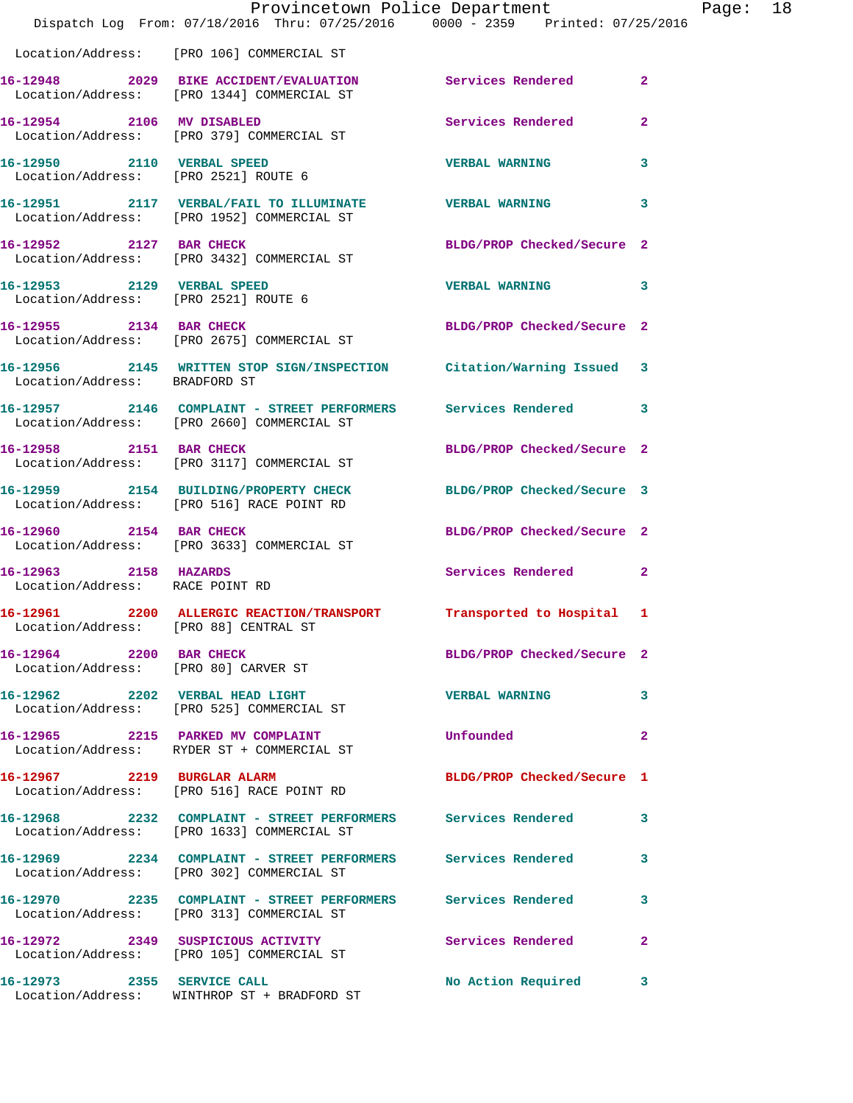|                                                          | Provincetown Police Department<br>Dispatch Log From: 07/18/2016 Thru: 07/25/2016 0000 - 2359 Printed: 07/25/2016 |                            | Page: 18     |
|----------------------------------------------------------|------------------------------------------------------------------------------------------------------------------|----------------------------|--------------|
|                                                          | Location/Address: [PRO 106] COMMERCIAL ST                                                                        |                            |              |
|                                                          | 16-12948 2029 BIKE ACCIDENT/EVALUATION Services Rendered<br>Location/Address: [PRO 1344] COMMERCIAL ST           |                            | $\mathbf{2}$ |
|                                                          | 16-12954 2106 MV DISABLED<br>Location/Address: [PRO 379] COMMERCIAL ST                                           | Services Rendered          | $\mathbf{2}$ |
|                                                          |                                                                                                                  | <b>VERBAL WARNING</b>      | 3            |
|                                                          |                                                                                                                  |                            | 3            |
|                                                          | 16-12952 2127 BAR CHECK<br>Location/Address: [PRO 3432] COMMERCIAL ST                                            | BLDG/PROP Checked/Secure 2 |              |
| Location/Address: [PRO 2521] ROUTE 6                     | 16-12953 2129 VERBAL SPEED                                                                                       | <b>VERBAL WARNING</b>      | 3            |
|                                                          | 16-12955 2134 BAR CHECK<br>Location/Address: [PRO 2675] COMMERCIAL ST                                            | BLDG/PROP Checked/Secure 2 |              |
| Location/Address: BRADFORD ST                            | 16-12956 2145 WRITTEN STOP SIGN/INSPECTION Citation/Warning Issued 3                                             |                            |              |
|                                                          | 16-12957 2146 COMPLAINT - STREET PERFORMERS Services Rendered 3<br>Location/Address: [PRO 2660] COMMERCIAL ST    |                            |              |
|                                                          | 16-12958 2151 BAR CHECK<br>Location/Address: [PRO 3117] COMMERCIAL ST                                            | BLDG/PROP Checked/Secure 2 |              |
|                                                          | 16-12959 2154 BUILDING/PROPERTY CHECK BLDG/PROP Checked/Secure 3<br>Location/Address: [PRO 516] RACE POINT RD    |                            |              |
|                                                          | 16-12960 2154 BAR CHECK<br>Location/Address: [PRO 3633] COMMERCIAL ST                                            | BLDG/PROP Checked/Secure 2 |              |
| 16-12963 2158 HAZARDS<br>Location/Address: RACE POINT RD |                                                                                                                  | Services Rendered 2        |              |
| Location/Address: [PRO 88] CENTRAL ST                    | 16-12961 2200 ALLERGIC REACTION/TRANSPORT Transported to Hospital 1                                              |                            |              |
| 16-12964 2200 BAR CHECK                                  | Location/Address: [PRO 80] CARVER ST                                                                             | BLDG/PROP Checked/Secure 2 |              |
|                                                          | 16-12962 2202 VERBAL HEAD LIGHT<br>Location/Address: [PRO 525] COMMERCIAL ST                                     | <b>VERBAL WARNING</b>      | 3            |
|                                                          | 16-12965 2215 PARKED MV COMPLAINT<br>Location/Address: RYDER ST + COMMERCIAL ST                                  | Unfounded                  | $\mathbf{2}$ |
|                                                          | 16-12967 2219 BURGLAR ALARM<br>Location/Address: [PRO 516] RACE POINT RD                                         | BLDG/PROP Checked/Secure 1 |              |
|                                                          | 16-12968 2232 COMPLAINT - STREET PERFORMERS Services Rendered 3<br>Location/Address: [PRO 1633] COMMERCIAL ST    |                            |              |
|                                                          | 16-12969 2234 COMPLAINT - STREET PERFORMERS Services Rendered<br>Location/Address: [PRO 302] COMMERCIAL ST       |                            | 3            |
|                                                          | 16-12970 2235 COMPLAINT - STREET PERFORMERS Services Rendered 3<br>Location/Address: [PRO 313] COMMERCIAL ST     |                            |              |
|                                                          | 16-12972 2349 SUSPICIOUS ACTIVITY Services Rendered<br>Location/Address: [PRO 105] COMMERCIAL ST                 |                            | 2            |
| 16-12973 2355 SERVICE CALL                               |                                                                                                                  | No Action Required 3       |              |

Location/Address: WINTHROP ST + BRADFORD ST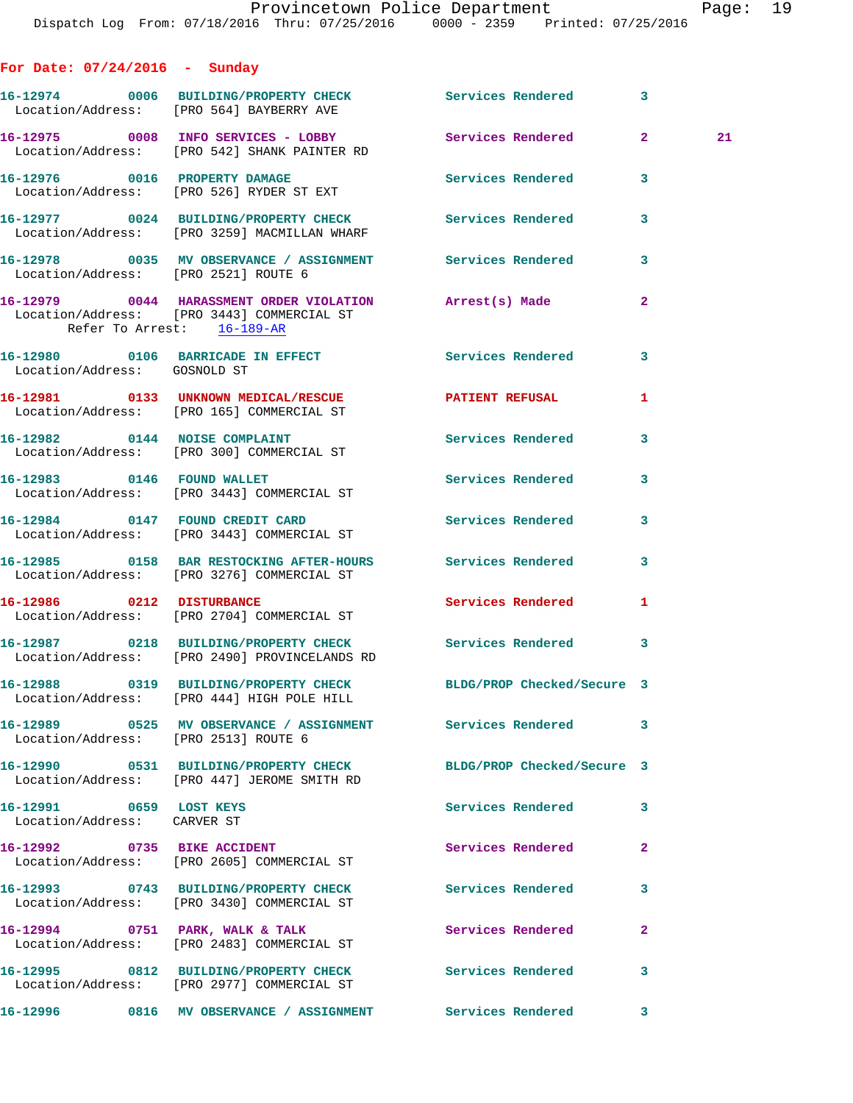**For Date: 07/24/2016 - Sunday**

|                                                        | 16-12974 0006 BUILDING/PROPERTY CHECK Services Rendered 3<br>Location/Address: [PRO 564] BAYBERRY AVE          |                            |                |    |
|--------------------------------------------------------|----------------------------------------------------------------------------------------------------------------|----------------------------|----------------|----|
|                                                        | 16-12975 0008 INFO SERVICES - LOBBY<br>Location/Address: [PRO 542] SHANK PAINTER RD                            | Services Rendered 2        |                | 21 |
|                                                        | 16-12976 0016 PROPERTY DAMAGE<br>Location/Address: [PRO 526] RYDER ST EXT                                      | Services Rendered          | 3              |    |
|                                                        | 16-12977 0024 BUILDING/PROPERTY CHECK Services Rendered<br>Location/Address: [PRO 3259] MACMILLAN WHARF        |                            | 3              |    |
| Location/Address: [PRO 2521] ROUTE 6                   | 16-12978 0035 MV OBSERVANCE / ASSIGNMENT Services Rendered                                                     |                            | 3              |    |
| Refer To Arrest: 16-189-AR                             | 16-12979 0044 HARASSMENT ORDER VIOLATION Arrest(s) Made<br>Location/Address: [PRO 3443] COMMERCIAL ST          |                            | $\mathbf{2}$   |    |
| Location/Address: GOSNOLD ST                           | 16-12980 0106 BARRICADE IN EFFECT Services Rendered                                                            |                            | $\mathbf{3}$   |    |
|                                                        | 16-12981 0133 UNKNOWN MEDICAL/RESCUE<br>Location/Address: [PRO 165] COMMERCIAL ST                              | PATIENT REFUSAL            | 1              |    |
|                                                        | 16-12982 0144 NOISE COMPLAINT<br>Location/Address: [PRO 300] COMMERCIAL ST                                     | Services Rendered          | 3              |    |
|                                                        | 16-12983 0146 FOUND WALLET<br>Location/Address: [PRO 3443] COMMERCIAL ST                                       | Services Rendered          | 3              |    |
|                                                        | 16-12984 0147 FOUND CREDIT CARD<br>Location/Address: [PRO 3443] COMMERCIAL ST                                  | Services Rendered          | 3              |    |
|                                                        | 16-12985 0158 BAR RESTOCKING AFTER-HOURS Services Rendered<br>Location/Address: [PRO 3276] COMMERCIAL ST       |                            | 3              |    |
| 16-12986 0212 DISTURBANCE                              | Location/Address: [PRO 2704] COMMERCIAL ST                                                                     | Services Rendered          | 1              |    |
|                                                        | 16-12987 0218 BUILDING/PROPERTY CHECK Services Rendered<br>Location/Address: [PRO 2490] PROVINCELANDS RD       |                            | 3              |    |
|                                                        | 16-12988 0319 BUILDING/PROPERTY CHECK BLDG/PROP Checked/Secure 3<br>Location/Address: [PRO 444] HIGH POLE HILL |                            |                |    |
| Location/Address: [PRO 2513] ROUTE 6                   | 16-12989       0525   MV OBSERVANCE / ASSIGNMENT       Services Rendered                                       |                            | 3              |    |
|                                                        | 16-12990 0531 BUILDING/PROPERTY CHECK<br>Location/Address: [PRO 447] JEROME SMITH RD                           | BLDG/PROP Checked/Secure 3 |                |    |
| 16-12991 0659 LOST KEYS<br>Location/Address: CARVER ST |                                                                                                                | Services Rendered          | 3              |    |
| 16-12992 0735 BIKE ACCIDENT                            | Location/Address: [PRO 2605] COMMERCIAL ST                                                                     | Services Rendered          | $\overline{a}$ |    |
|                                                        | 16-12993 0743 BUILDING/PROPERTY CHECK<br>Location/Address: [PRO 3430] COMMERCIAL ST                            | <b>Services Rendered</b>   | 3              |    |
|                                                        | 16-12994 0751 PARK, WALK & TALK<br>Location/Address: [PRO 2483] COMMERCIAL ST                                  | Services Rendered          | $\mathbf{2}$   |    |
|                                                        | 16-12995 0812 BUILDING/PROPERTY CHECK Services Rendered<br>Location/Address: [PRO 2977] COMMERCIAL ST          |                            | 3              |    |
|                                                        | 16-12996 0816 MV OBSERVANCE / ASSIGNMENT Services Rendered                                                     |                            | 3              |    |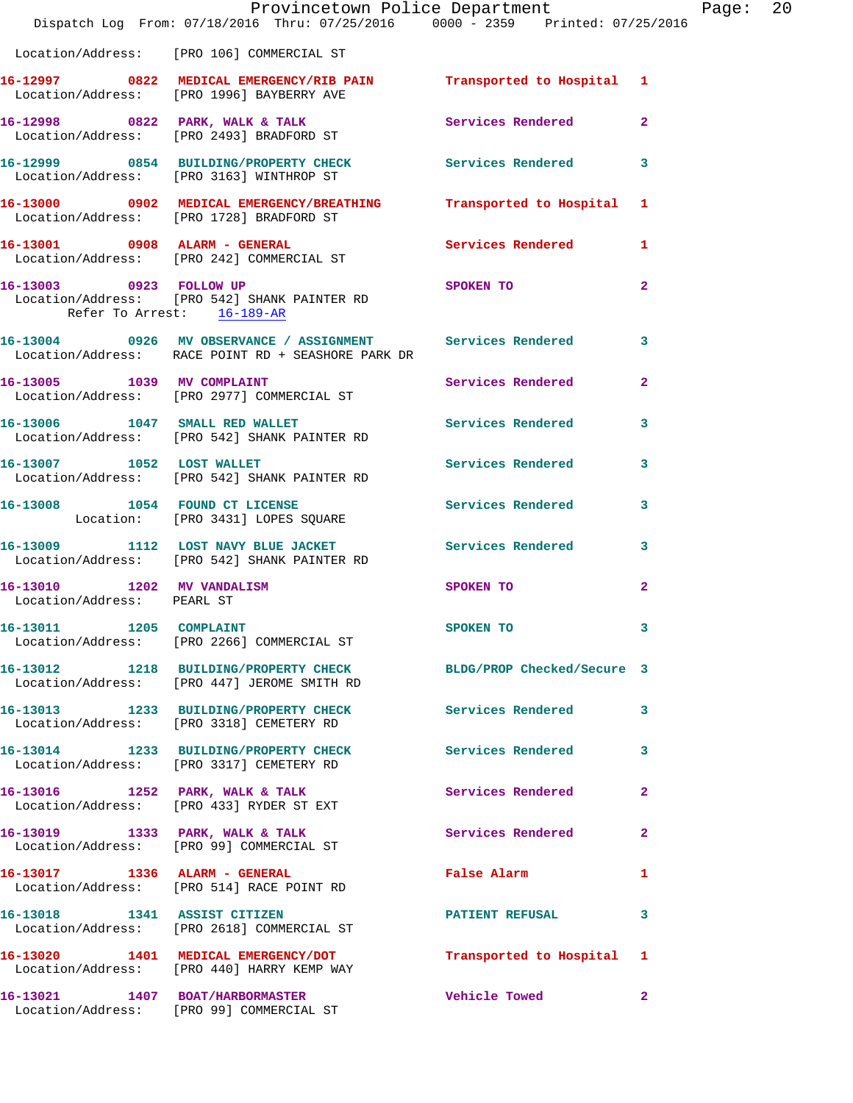|                                                          | Provincetown Police Department<br>Dispatch Log From: 07/18/2016 Thru: 07/25/2016 0000 - 2359 Printed: 07/25/2016 |                          |                |
|----------------------------------------------------------|------------------------------------------------------------------------------------------------------------------|--------------------------|----------------|
|                                                          | Location/Address: [PRO 106] COMMERCIAL ST                                                                        |                          |                |
|                                                          | 16-12997 0822 MEDICAL EMERGENCY/RIB PAIN Transported to Hospital 1<br>Location/Address: [PRO 1996] BAYBERRY AVE  |                          |                |
|                                                          | 16-12998 0822 PARK, WALK & TALK Services Rendered<br>Location/Address: [PRO 2493] BRADFORD ST                    |                          | $\overline{2}$ |
|                                                          | 16-12999 0854 BUILDING/PROPERTY CHECK Services Rendered<br>Location/Address: [PRO 3163] WINTHROP ST              |                          | 3              |
|                                                          | 16-13000 0902 MEDICAL EMERGENCY/BREATHING Transported to Hospital<br>Location/Address: [PRO 1728] BRADFORD ST    |                          | 1              |
|                                                          | 16-13001 0908 ALARM - GENERAL<br>Location/Address: [PRO 242] COMMERCIAL ST                                       | Services Rendered        | 1              |
| Refer To Arrest: 16-189-AR                               | 16-13003 0923 FOLLOW UP<br>Location/Address: [PRO 542] SHANK PAINTER RD                                          | SPOKEN TO                | $\mathbf{2}$   |
|                                                          | 16-13004 0926 MV OBSERVANCE / ASSIGNMENT Services Rendered<br>Location/Address: RACE POINT RD + SEASHORE PARK DR |                          | 3              |
|                                                          | 16-13005 1039 MV COMPLAINT<br>Location/Address: [PRO 2977] COMMERCIAL ST                                         | <b>Services Rendered</b> | $\overline{a}$ |
|                                                          | 16-13006 1047 SMALL RED WALLET<br>Location/Address: [PRO 542] SHANK PAINTER RD                                   | <b>Services Rendered</b> | 3              |
| 16-13007 1052 LOST WALLET                                | Location/Address: [PRO 542] SHANK PAINTER RD                                                                     | Services Rendered        | 3              |
|                                                          | 16-13008 1054 FOUND CT LICENSE<br>Location: [PRO 3431] LOPES SQUARE                                              | <b>Services Rendered</b> | 3              |
|                                                          | 16-13009 1112 LOST NAVY BLUE JACKET Services Rendered<br>Location/Address: [PRO 542] SHANK PAINTER RD            |                          | 3              |
| 16-13010 1202 MV VANDALISM<br>Location/Address: PEARL ST |                                                                                                                  | SPOKEN TO                | $\mathbf{2}$   |
| 16-13011                                                 | 1205 COMPLAINT<br>Location/Address: [PRO 2266] COMMERCIAL ST                                                     | SPOKEN TO                | 3              |
|                                                          | 16-13012 1218 BUILDING/PROPERTY CHECK BLDG/PROP Checked/Secure 3<br>Location/Address: [PRO 447] JEROME SMITH RD  |                          |                |
|                                                          | 16-13013 1233 BUILDING/PROPERTY CHECK<br>Location/Address: [PRO 3318] CEMETERY RD                                | <b>Services Rendered</b> | 3              |
|                                                          | 16-13014 1233 BUILDING/PROPERTY CHECK<br>Location/Address: [PRO 3317] CEMETERY RD                                | <b>Services Rendered</b> | 3              |
|                                                          | 16-13016 1252 PARK, WALK & TALK<br>Location/Address: [PRO 433] RYDER ST EXT                                      | <b>Services Rendered</b> | $\mathbf{2}$   |
|                                                          | 16-13019 1333 PARK, WALK & TALK<br>Location/Address: [PRO 99] COMMERCIAL ST                                      | Services Rendered        | 2              |
|                                                          | 16-13017 1336 ALARM - GENERAL<br>Location/Address: [PRO 514] RACE POINT RD                                       | False Alarm              | 1              |
|                                                          | 16-13018 1341 ASSIST CITIZEN<br>Location/Address: [PRO 2618] COMMERCIAL ST                                       | <b>PATIENT REFUSAL</b>   | 3              |
|                                                          | 16-13020 1401 MEDICAL EMERGENCY/DOT<br>Location/Address: [PRO 440] HARRY KEMP WAY                                | Transported to Hospital  | 1              |
|                                                          | 16-13021 1407 BOAT/HARBORMASTER<br>Location/Address: [PRO 99] COMMERCIAL ST                                      | <b>Vehicle Towed</b>     | $\mathbf{2}$   |

Page: 20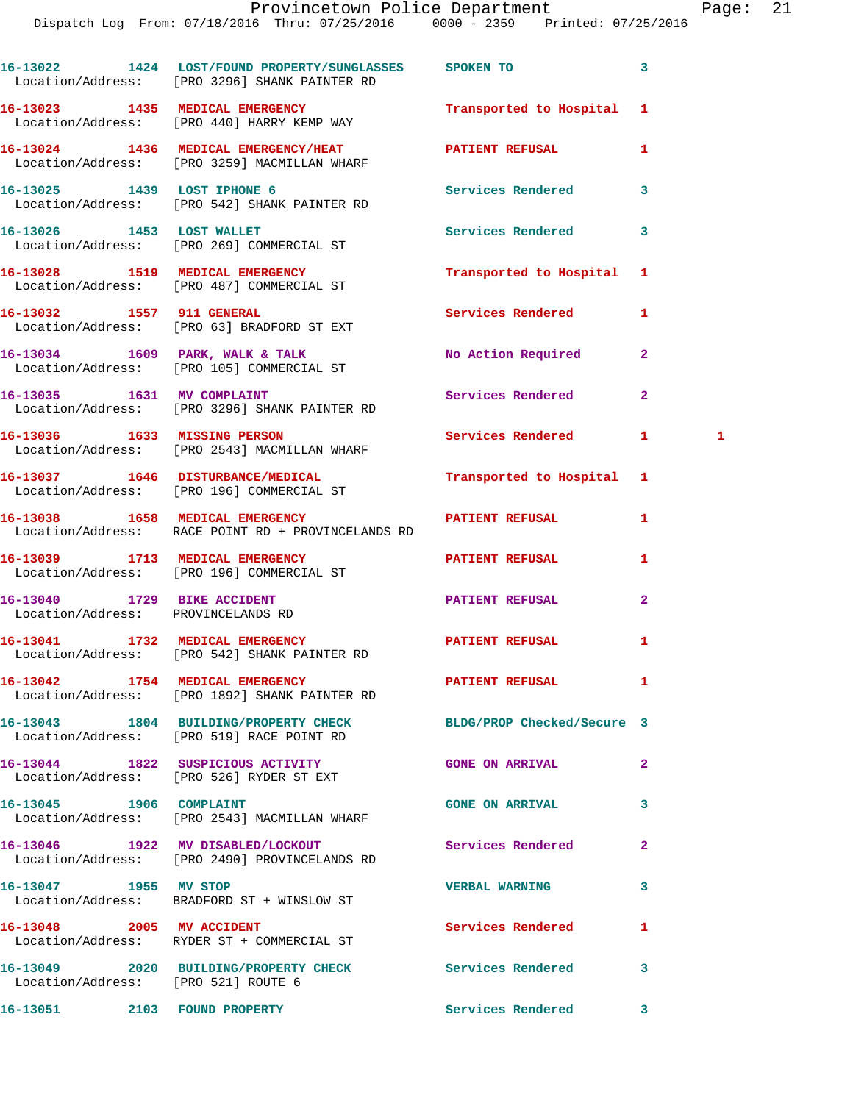| aae. |  |  |
|------|--|--|
|------|--|--|

|                                                                   | 16-13022 1424 LOST/FOUND PROPERTY/SUNGLASSES SPOKEN TO<br>Location/Address: [PRO 3296] SHANK PAINTER RD |                            | 3              |
|-------------------------------------------------------------------|---------------------------------------------------------------------------------------------------------|----------------------------|----------------|
|                                                                   | 16-13023 1435 MEDICAL EMERGENCY<br>Location/Address: [PRO 440] HARRY KEMP WAY                           | Transported to Hospital    | 1              |
|                                                                   | 16-13024 1436 MEDICAL EMERGENCY/HEAT<br>Location/Address: [PRO 3259] MACMILLAN WHARF                    | <b>PATIENT REFUSAL</b>     | 1              |
| 16-13025 1439 LOST IPHONE 6                                       | Location/Address: [PRO 542] SHANK PAINTER RD                                                            | Services Rendered          | 3              |
|                                                                   | 16-13026 1453 LOST WALLET<br>Location/Address: [PRO 269] COMMERCIAL ST                                  | <b>Services Rendered</b>   | 3              |
|                                                                   | 16-13028 1519 MEDICAL EMERGENCY<br>Location/Address: [PRO 487] COMMERCIAL ST                            | Transported to Hospital    | 1              |
|                                                                   | 16-13032 1557 911 GENERAL<br>Location/Address: [PRO 63] BRADFORD ST EXT                                 | Services Rendered          | 1              |
|                                                                   | 16-13034 1609 PARK, WALK & TALK<br>Location/Address: [PRO 105] COMMERCIAL ST                            | No Action Required         | $\mathbf{2}$   |
|                                                                   | 16-13035 1631 MV COMPLAINT<br>Location/Address: [PRO 3296] SHANK PAINTER RD                             | Services Rendered          | $\overline{2}$ |
| 16-13036 1633 MISSING PERSON                                      | Location/Address: [PRO 2543] MACMILLAN WHARF                                                            | Services Rendered          | 1<br>1.        |
|                                                                   | 16-13037 1646 DISTURBANCE/MEDICAL<br>Location/Address: [PRO 196] COMMERCIAL ST                          | Transported to Hospital    | 1              |
|                                                                   | 16-13038 1658 MEDICAL EMERGENCY<br>Location/Address: RACE POINT RD + PROVINCELANDS RD                   | <b>PATIENT REFUSAL</b>     | 1              |
|                                                                   | 16-13039 1713 MEDICAL EMERGENCY<br>Location/Address: [PRO 196] COMMERCIAL ST                            | <b>PATIENT REFUSAL</b>     | 1              |
| 16-13040 1729 BIKE ACCIDENT<br>Location/Address: PROVINCELANDS RD |                                                                                                         | <b>PATIENT REFUSAL</b>     | $\mathbf{2}$   |
|                                                                   | 16-13041 1732 MEDICAL EMERGENCY<br>Location/Address: [PRO 542] SHANK PAINTER RD                         | PATIENT REFUSAL            | 1              |
|                                                                   | 16-13042 1754 MEDICAL EMERGENCY<br>Location/Address: [PRO 1892] SHANK PAINTER RD                        | <b>PATIENT REFUSAL</b>     | 1              |
|                                                                   | 16-13043 1804 BUILDING/PROPERTY CHECK<br>Location/Address: [PRO 519] RACE POINT RD                      | BLDG/PROP Checked/Secure 3 |                |
|                                                                   | 16-13044 1822 SUSPICIOUS ACTIVITY<br>Location/Address: [PRO 526] RYDER ST EXT                           | <b>GONE ON ARRIVAL</b>     | $\mathbf{2}$   |
|                                                                   | Location/Address: [PRO 2543] MACMILLAN WHARF                                                            | <b>GONE ON ARRIVAL</b>     | 3              |
|                                                                   | 16-13046 1922 MV DISABLED/LOCKOUT<br>Location/Address: [PRO 2490] PROVINCELANDS RD                      | Services Rendered          | $\mathbf{2}$   |
| 16-13047 1955 MV STOP                                             | Location/Address: BRADFORD ST + WINSLOW ST                                                              | <b>VERBAL WARNING</b>      | 3              |
| 16-13048 2005 MV ACCIDENT                                         | Location/Address: RYDER ST + COMMERCIAL ST                                                              | <b>Services Rendered</b>   | 1              |
| Location/Address: [PRO 521] ROUTE 6                               | 16-13049 2020 BUILDING/PROPERTY CHECK Services Rendered                                                 |                            | 3              |
| 16-13051 2103 FOUND PROPERTY                                      |                                                                                                         | Services Rendered          | 3              |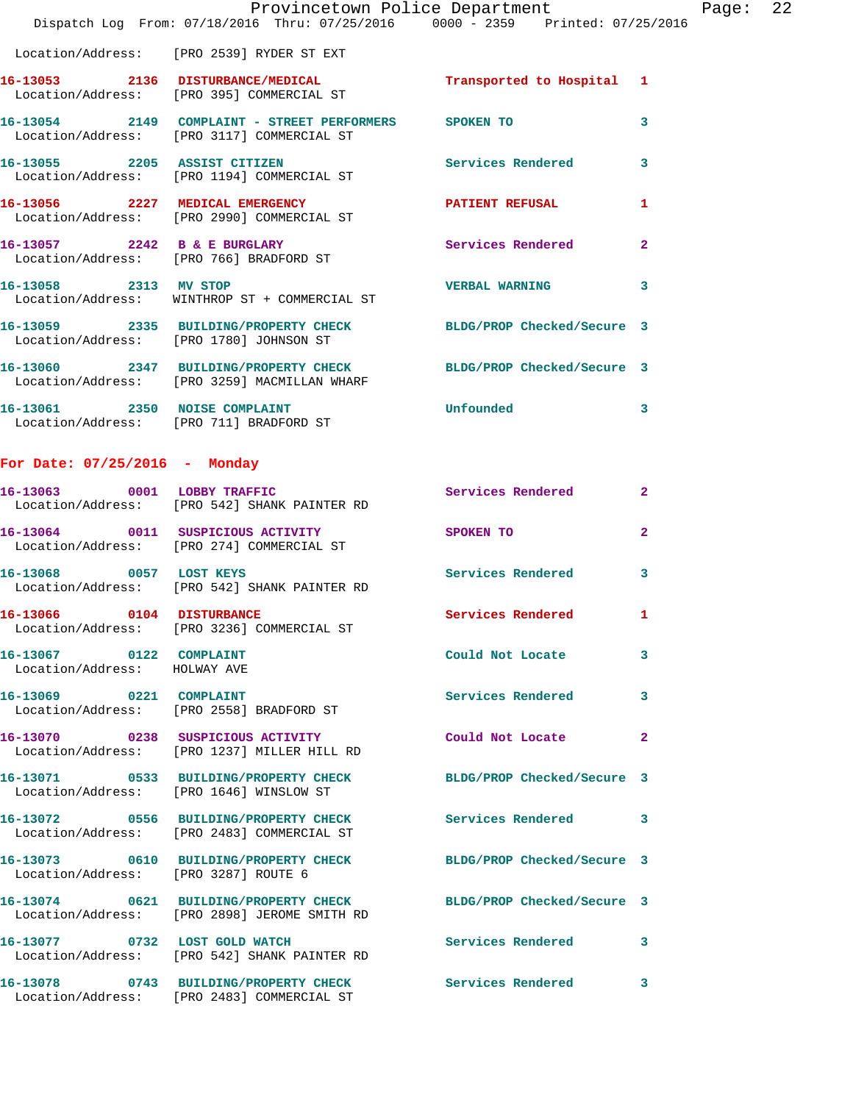|                       | Dispatch Log From: 07/18/2016 Thru: 07/25/2016 0000 - 2359 Printed: 07/25/2016                                   | Provincetown Police Department | Page: 22                |  |
|-----------------------|------------------------------------------------------------------------------------------------------------------|--------------------------------|-------------------------|--|
|                       | Location/Address: [PRO 2539] RYDER ST EXT                                                                        |                                |                         |  |
|                       | 16-13053 2136 DISTURBANCE/MEDICAL<br>Location/Address: [PRO 395] COMMERCIAL ST                                   | Transported to Hospital 1      |                         |  |
|                       | 16-13054 2149 COMPLAINT - STREET PERFORMERS SPOKEN TO<br>Location/Address: [PRO 3117] COMMERCIAL ST              |                                | 3                       |  |
|                       | 16-13055 2205 ASSIST CITIZEN Services Rendered<br>Location/Address: [PRO 1194] COMMERCIAL ST                     |                                | $\overline{\mathbf{3}}$ |  |
|                       | 16-13056 2227 MEDICAL EMERGENCY PATIENT REFUSAL<br>Location/Address: [PRO 2990] COMMERCIAL ST                    |                                | 1                       |  |
|                       | 16-13057 2242 B & E BURGLARY Services Rendered<br>Location/Address: [PRO 766] BRADFORD ST                        |                                | $\overline{2}$          |  |
| 16-13058 2313 MV STOP | Location/Address: WINTHROP ST + COMMERCIAL ST                                                                    | <b>VERBAL WARNING</b>          | 3                       |  |
|                       | 16-13059 2335 BUILDING/PROPERTY CHECK BLDG/PROP Checked/Secure 3<br>Location/Address: [PRO 1780] JOHNSON ST      |                                |                         |  |
|                       | 16-13060 2347 BUILDING/PROPERTY CHECK BLDG/PROP Checked/Secure 3<br>Location/Address: [PRO 3259] MACMILLAN WHARF |                                |                         |  |
|                       | 16-13061 2350 NOISE COMPLAINT<br>Location/Address: [PRO 711] BRADFORD ST                                         | Unfounded                      | 3                       |  |
|                       |                                                                                                                  |                                |                         |  |

## **For Date: 07/25/2016 - Monday**

Location/Address: [PRO 2483] COMMERCIAL ST

| 16-13063 0001 LOBBY TRAFFIC                             | Location/Address: [PRO 542] SHANK PAINTER RD                                          | Services Rendered          | $\mathbf{2}$            |
|---------------------------------------------------------|---------------------------------------------------------------------------------------|----------------------------|-------------------------|
|                                                         | 16-13064 0011 SUSPICIOUS ACTIVITY<br>Location/Address: [PRO 274] COMMERCIAL ST        | SPOKEN TO                  | $\overline{2}$          |
| 16-13068 0057 LOST KEYS<br>Location/Address:            | [PRO 542] SHANK PAINTER RD                                                            | Services Rendered          | $\mathbf{3}$            |
| 16-13066 0104 DISTURBANCE                               | Location/Address: [PRO 3236] COMMERCIAL ST                                            | Services Rendered          | $\mathbf{1}$            |
| 16-13067 0122 COMPLAINT<br>Location/Address: HOLWAY AVE |                                                                                       | Could Not Locate           | $\mathbf{3}$            |
| 16-13069 0221 COMPLAINT                                 | Location/Address: [PRO 2558] BRADFORD ST                                              | Services Rendered          | 3                       |
| Location/Address:                                       | [PRO 1237] MILLER HILL RD                                                             | Could Not Locate           | $\mathbf{2}$            |
| Location/Address:                                       | 16-13071 0533 BUILDING/PROPERTY CHECK<br>[PRO 1646] WINSLOW ST                        | BLDG/PROP Checked/Secure 3 |                         |
|                                                         | 16-13072 0556 BUILDING/PROPERTY CHECK<br>Location/Address: [PRO 2483] COMMERCIAL ST   | <b>Services Rendered</b>   | $\overline{\mathbf{3}}$ |
| Location/Address:                                       | 16-13073 0610 BUILDING/PROPERTY CHECK<br>[PRO 3287] ROUTE 6                           | BLDG/PROP Checked/Secure 3 |                         |
|                                                         | 16-13074 0621 BUILDING/PROPERTY CHECK<br>Location/Address: [PRO 2898] JEROME SMITH RD | BLDG/PROP Checked/Secure 3 |                         |
| 16-13077 0732 LOST GOLD WATCH<br>Location/Address:      | [PRO 542] SHANK PAINTER RD                                                            | <b>Services Rendered</b>   | 3                       |
|                                                         | 16-13078 0743 BUILDING/PROPERTY CHECK                                                 | Services Rendered          | 3                       |